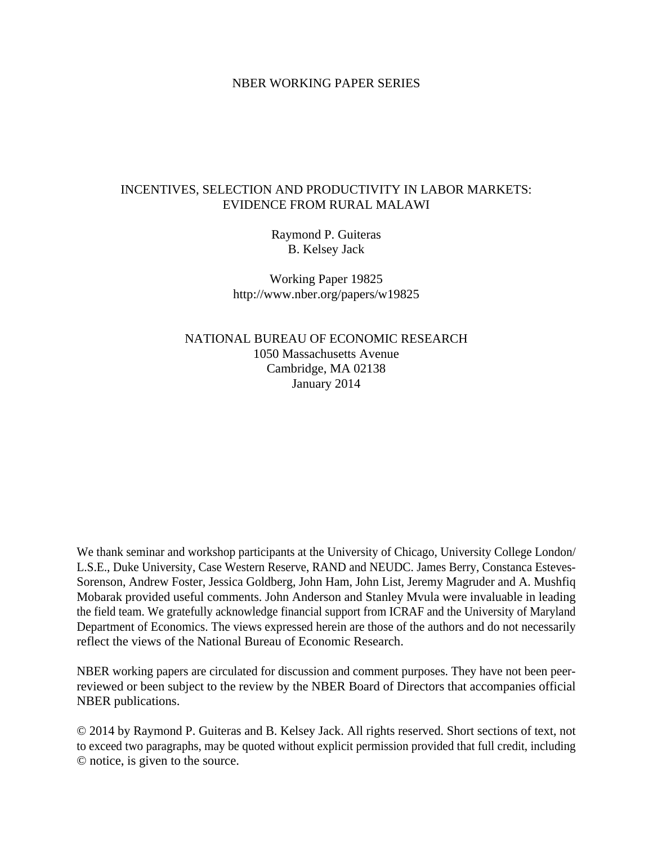### NBER WORKING PAPER SERIES

## INCENTIVES, SELECTION AND PRODUCTIVITY IN LABOR MARKETS: EVIDENCE FROM RURAL MALAWI

Raymond P. Guiteras B. Kelsey Jack

Working Paper 19825 http://www.nber.org/papers/w19825

NATIONAL BUREAU OF ECONOMIC RESEARCH 1050 Massachusetts Avenue Cambridge, MA 02138 January 2014

We thank seminar and workshop participants at the University of Chicago, University College London L.S.E., Duke University, Case Western Reserve, RAND and NEUDC. James Berry, Constanca Esteves-Sorenson, Andrew Foster, Jessica Goldberg, John Ham, John List, Jeremy Magruder and A. Mushfiq Mobarak provided useful comments. John Anderson and Stanley Mvula were invaluable in leading the field team. We gratefully acknowledge financial support from ICRAF and the University of Maryland Department of Economics. The views expressed herein are those of the authors and do not necessarily reflect the views of the National Bureau of Economic Research.

NBER working papers are circulated for discussion and comment purposes. They have not been peerreviewed or been subject to the review by the NBER Board of Directors that accompanies official NBER publications.

© 2014 by Raymond P. Guiteras and B. Kelsey Jack. All rights reserved. Short sections of text, not to exceed two paragraphs, may be quoted without explicit permission provided that full credit, including © notice, is given to the source.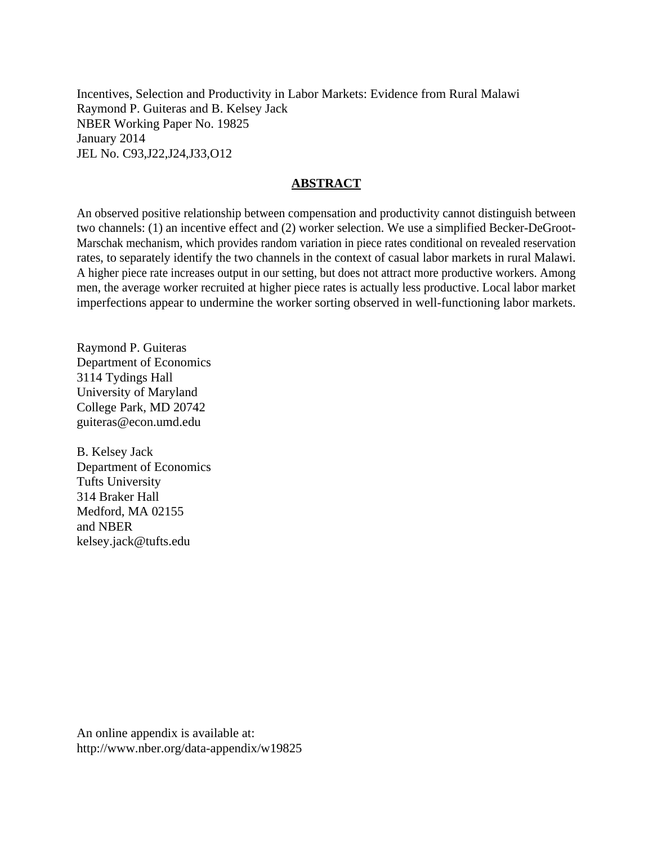Incentives, Selection and Productivity in Labor Markets: Evidence from Rural Malawi Raymond P. Guiteras and B. Kelsey Jack NBER Working Paper No. 19825 January 2014 JEL No. C93,J22,J24,J33,O12

### **ABSTRACT**

An observed positive relationship between compensation and productivity cannot distinguish between two channels: (1) an incentive effect and (2) worker selection. We use a simplified Becker-DeGroot-Marschak mechanism, which provides random variation in piece rates conditional on revealed reservation rates, to separately identify the two channels in the context of casual labor markets in rural Malawi. A higher piece rate increases output in our setting, but does not attract more productive workers. Among men, the average worker recruited at higher piece rates is actually less productive. Local labor market imperfections appear to undermine the worker sorting observed in well-functioning labor markets.

Raymond P. Guiteras Department of Economics 3114 Tydings Hall University of Maryland College Park, MD 20742 guiteras@econ.umd.edu

B. Kelsey Jack Department of Economics Tufts University 314 Braker Hall Medford, MA 02155 and NBER kelsey.jack@tufts.edu

An online appendix is available at: http://www.nber.org/data-appendix/w19825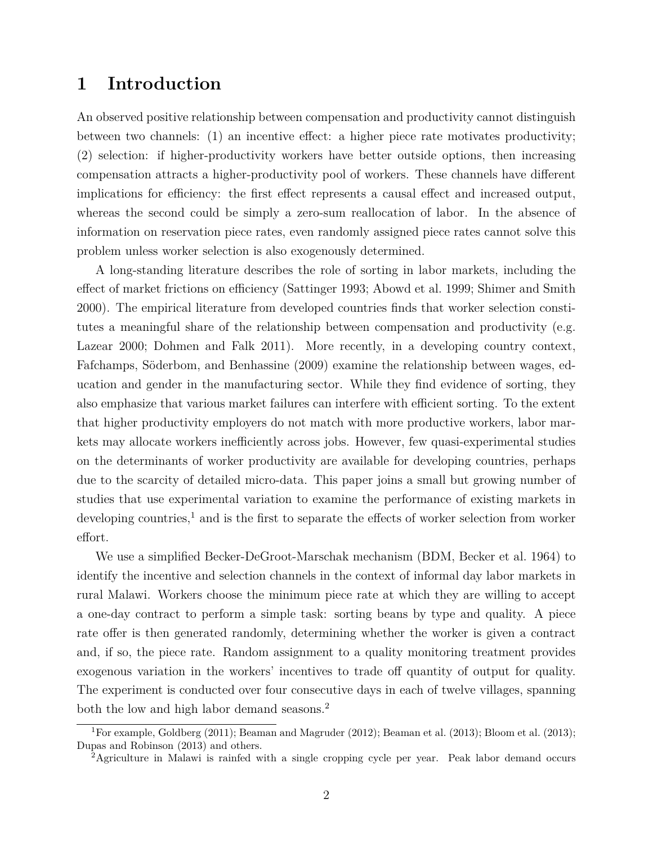# **1 Introduction**

An observed positive relationship between compensation and productivity cannot distinguish between two channels: (1) an incentive effect: a higher piece rate motivates productivity; (2) selection: if higher-productivity workers have better outside options, then increasing compensation attracts a higher-productivity pool of workers. These channels have different implications for efficiency: the first effect represents a causal effect and increased output, whereas the second could be simply a zero-sum reallocation of labor. In the absence of information on reservation piece rates, even randomly assigned piece rates cannot solve this problem unless worker selection is also exogenously determined.

A long-standing literature describes the role of sorting in labor markets, including the effect of market frictions on efficiency [\(Sattinger 1993;](#page-28-0) [Abowd et al. 1999;](#page-26-0) [Shimer and Smith](#page-28-1) [2000\)](#page-28-1). The empirical literature from developed countries finds that worker selection constitutes a meaningful share of the relationship between compensation and productivity (e.g. [Lazear 2000;](#page-27-0) [Dohmen and Falk 2011\)](#page-26-1). More recently, in a developing country context, [Fafchamps, Söderbom, and Benhassine](#page-27-1) [\(2009\)](#page-27-1) examine the relationship between wages, education and gender in the manufacturing sector. While they find evidence of sorting, they also emphasize that various market failures can interfere with efficient sorting. To the extent that higher productivity employers do not match with more productive workers, labor markets may allocate workers inefficiently across jobs. However, few quasi-experimental studies on the determinants of worker productivity are available for developing countries, perhaps due to the scarcity of detailed micro-data. This paper joins a small but growing number of studies that use experimental variation to examine the performance of existing markets in developing countries,<sup>[1](#page--1-0)</sup> and is the first to separate the effects of worker selection from worker effort.

We use a simplified Becker-DeGroot-Marschak mechanism (BDM, [Becker et al. 1964\)](#page-26-2) to identify the incentive and selection channels in the context of informal day labor markets in rural Malawi. Workers choose the minimum piece rate at which they are willing to accept a one-day contract to perform a simple task: sorting beans by type and quality. A piece rate offer is then generated randomly, determining whether the worker is given a contract and, if so, the piece rate. Random assignment to a quality monitoring treatment provides exogenous variation in the workers' incentives to trade off quantity of output for quality. The experiment is conducted over four consecutive days in each of twelve villages, spanning both the low and high labor demand seasons.<sup>[2](#page--1-0)</sup>

<sup>1</sup>For example, [Goldberg](#page-27-2) [\(2011\)](#page-27-2); [Beaman and Magruder](#page-26-3) [\(2012\)](#page-26-3); [Beaman et al.](#page-26-4) [\(2013\)](#page-26-4); [Bloom et al.](#page-26-5) [\(2013\)](#page-26-5); [Dupas and Robinson](#page-26-6) [\(2013\)](#page-26-6) and others.

<sup>2</sup>Agriculture in Malawi is rainfed with a single cropping cycle per year. Peak labor demand occurs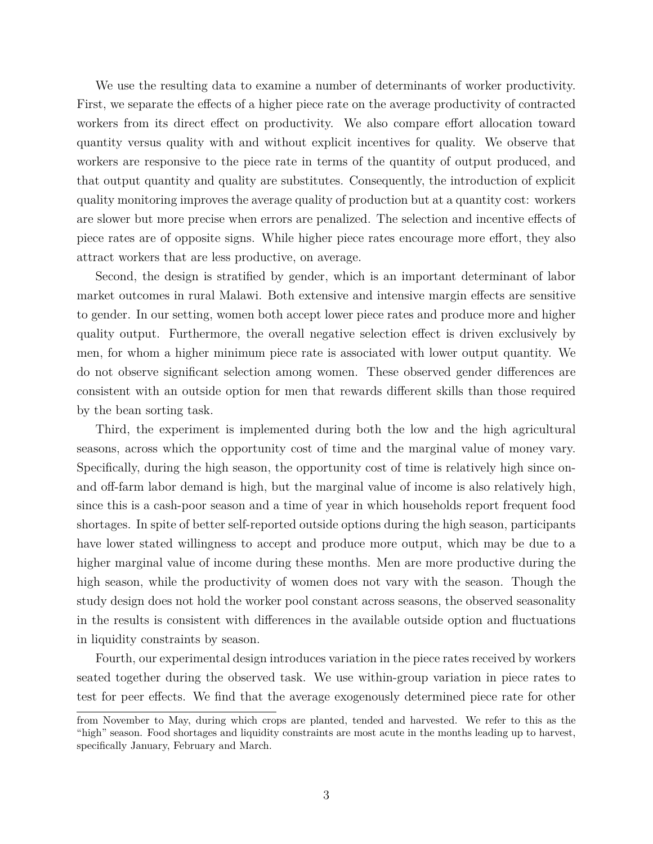We use the resulting data to examine a number of determinants of worker productivity. First, we separate the effects of a higher piece rate on the average productivity of contracted workers from its direct effect on productivity. We also compare effort allocation toward quantity versus quality with and without explicit incentives for quality. We observe that workers are responsive to the piece rate in terms of the quantity of output produced, and that output quantity and quality are substitutes. Consequently, the introduction of explicit quality monitoring improves the average quality of production but at a quantity cost: workers are slower but more precise when errors are penalized. The selection and incentive effects of piece rates are of opposite signs. While higher piece rates encourage more effort, they also attract workers that are less productive, on average.

Second, the design is stratified by gender, which is an important determinant of labor market outcomes in rural Malawi. Both extensive and intensive margin effects are sensitive to gender. In our setting, women both accept lower piece rates and produce more and higher quality output. Furthermore, the overall negative selection effect is driven exclusively by men, for whom a higher minimum piece rate is associated with lower output quantity. We do not observe significant selection among women. These observed gender differences are consistent with an outside option for men that rewards different skills than those required by the bean sorting task.

Third, the experiment is implemented during both the low and the high agricultural seasons, across which the opportunity cost of time and the marginal value of money vary. Specifically, during the high season, the opportunity cost of time is relatively high since onand off-farm labor demand is high, but the marginal value of income is also relatively high, since this is a cash-poor season and a time of year in which households report frequent food shortages. In spite of better self-reported outside options during the high season, participants have lower stated willingness to accept and produce more output, which may be due to a higher marginal value of income during these months. Men are more productive during the high season, while the productivity of women does not vary with the season. Though the study design does not hold the worker pool constant across seasons, the observed seasonality in the results is consistent with differences in the available outside option and fluctuations in liquidity constraints by season.

Fourth, our experimental design introduces variation in the piece rates received by workers seated together during the observed task. We use within-group variation in piece rates to test for peer effects. We find that the average exogenously determined piece rate for other

from November to May, during which crops are planted, tended and harvested. We refer to this as the "high" season. Food shortages and liquidity constraints are most acute in the months leading up to harvest, specifically January, February and March.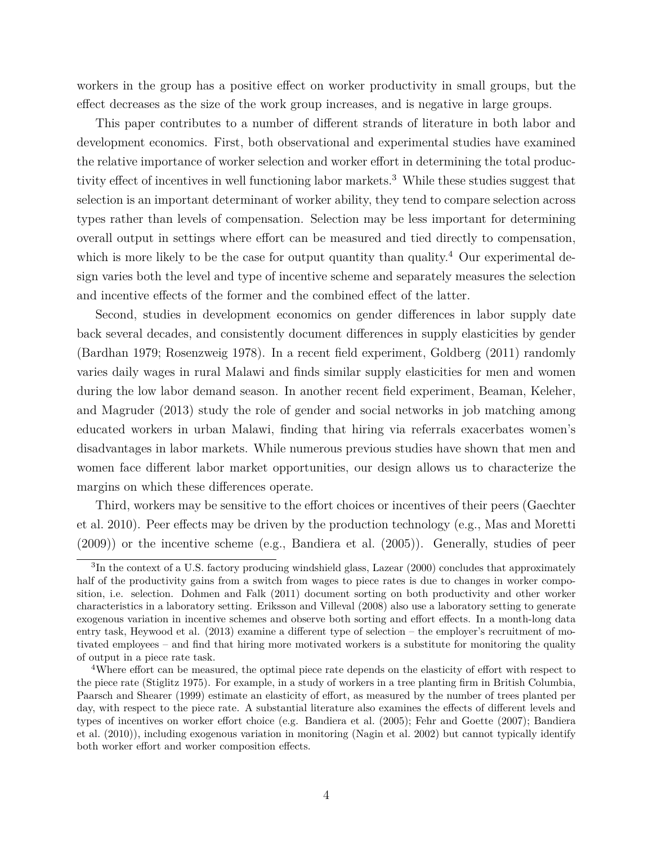workers in the group has a positive effect on worker productivity in small groups, but the effect decreases as the size of the work group increases, and is negative in large groups.

This paper contributes to a number of different strands of literature in both labor and development economics. First, both observational and experimental studies have examined the relative importance of worker selection and worker effort in determining the total produc-tivity effect of incentives in well functioning labor markets.<sup>[3](#page--1-0)</sup> While these studies suggest that selection is an important determinant of worker ability, they tend to compare selection across types rather than levels of compensation. Selection may be less important for determining overall output in settings where effort can be measured and tied directly to compensation, which is more likely to be the case for output quantity than quality.<sup>[4](#page--1-0)</sup> Our experimental design varies both the level and type of incentive scheme and separately measures the selection and incentive effects of the former and the combined effect of the latter.

Second, studies in development economics on gender differences in labor supply date back several decades, and consistently document differences in supply elasticities by gender [\(Bardhan 1979;](#page-26-7) [Rosenzweig 1978\)](#page-28-2). In a recent field experiment, [Goldberg](#page-27-2) [\(2011\)](#page-27-2) randomly varies daily wages in rural Malawi and finds similar supply elasticities for men and women during the low labor demand season. In another recent field experiment, [Beaman, Keleher,](#page-26-4) [and Magruder](#page-26-4) [\(2013\)](#page-26-4) study the role of gender and social networks in job matching among educated workers in urban Malawi, finding that hiring via referrals exacerbates women's disadvantages in labor markets. While numerous previous studies have shown that men and women face different labor market opportunities, our design allows us to characterize the margins on which these differences operate.

Third, workers may be sensitive to the effort choices or incentives of their peers [\(Gaechter](#page-27-3) [et al. 2010\)](#page-27-3). Peer effects may be driven by the production technology (e.g., [Mas and Moretti](#page-27-4) [\(2009\)](#page-27-4)) or the incentive scheme (e.g., [Bandiera et al.](#page-26-8) [\(2005\)](#page-26-8)). Generally, studies of peer

<sup>&</sup>lt;sup>3</sup>In the context of a U.S. factory producing windshield glass, [Lazear](#page-27-0) [\(2000\)](#page-27-0) concludes that approximately half of the productivity gains from a switch from wages to piece rates is due to changes in worker composition, i.e. selection. [Dohmen and Falk](#page-26-1) [\(2011\)](#page-26-1) document sorting on both productivity and other worker characteristics in a laboratory setting. [Eriksson and Villeval](#page-27-5) [\(2008\)](#page-27-5) also use a laboratory setting to generate exogenous variation in incentive schemes and observe both sorting and effort effects. In a month-long data entry task, Heywood et al. [\(2013\)](#page-27-6) examine a different type of selection – the employer's recruitment of motivated employees – and find that hiring more motivated workers is a substitute for monitoring the quality of output in a piece rate task.

<sup>4</sup>Where effort can be measured, the optimal piece rate depends on the elasticity of effort with respect to the piece rate [\(Stiglitz 1975\)](#page-28-3). For example, in a study of workers in a tree planting firm in British Columbia, [Paarsch and Shearer](#page-27-7) [\(1999\)](#page-27-7) estimate an elasticity of effort, as measured by the number of trees planted per day, with respect to the piece rate. A substantial literature also examines the effects of different levels and types of incentives on worker effort choice (e.g. [Bandiera et al.](#page-26-8) [\(2005\)](#page-26-8); [Fehr and Goette](#page-27-8) [\(2007\)](#page-27-8); [Bandiera](#page-26-9) [et al.](#page-26-9) [\(2010\)](#page-26-9)), including exogenous variation in monitoring [\(Nagin et al. 2002\)](#page-27-9) but cannot typically identify both worker effort and worker composition effects.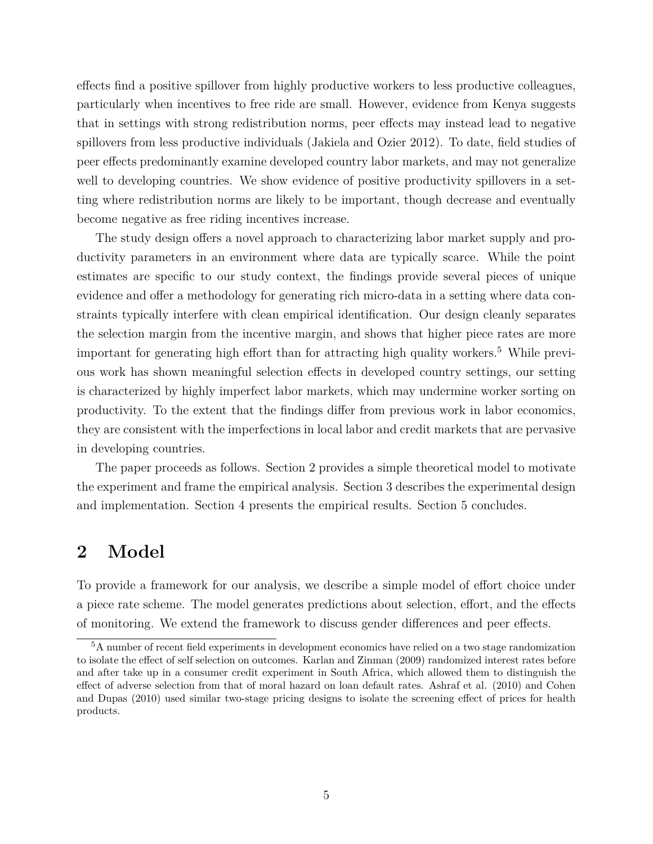effects find a positive spillover from highly productive workers to less productive colleagues, particularly when incentives to free ride are small. However, evidence from Kenya suggests that in settings with strong redistribution norms, peer effects may instead lead to negative spillovers from less productive individuals [\(Jakiela and Ozier 2012\)](#page-27-10). To date, field studies of peer effects predominantly examine developed country labor markets, and may not generalize well to developing countries. We show evidence of positive productivity spillovers in a setting where redistribution norms are likely to be important, though decrease and eventually become negative as free riding incentives increase.

The study design offers a novel approach to characterizing labor market supply and productivity parameters in an environment where data are typically scarce. While the point estimates are specific to our study context, the findings provide several pieces of unique evidence and offer a methodology for generating rich micro-data in a setting where data constraints typically interfere with clean empirical identification. Our design cleanly separates the selection margin from the incentive margin, and shows that higher piece rates are more important for generating high effort than for attracting high quality workers.<sup>[5](#page--1-0)</sup> While previous work has shown meaningful selection effects in developed country settings, our setting is characterized by highly imperfect labor markets, which may undermine worker sorting on productivity. To the extent that the findings differ from previous work in labor economics, they are consistent with the imperfections in local labor and credit markets that are pervasive in developing countries.

The paper proceeds as follows. Section [2](#page-5-0) provides a simple theoretical model to motivate the experiment and frame the empirical analysis. Section [3](#page-10-0) describes the experimental design and implementation. Section [4](#page-18-0) presents the empirical results. Section [5](#page-24-0) concludes.

# <span id="page-5-0"></span>**2 Model**

To provide a framework for our analysis, we describe a simple model of effort choice under a piece rate scheme. The model generates predictions about selection, effort, and the effects of monitoring. We extend the framework to discuss gender differences and peer effects.

<sup>5</sup>A number of recent field experiments in development economics have relied on a two stage randomization to isolate the effect of self selection on outcomes. Karlan and Zinman [\(2009\)](#page-27-11) randomized interest rates before and after take up in a consumer credit experiment in South Africa, which allowed them to distinguish the effect of adverse selection from that of moral hazard on loan default rates. Ashraf et al. [\(2010\)](#page-26-10) and Cohen and Dupas [\(2010\)](#page-26-11) used similar two-stage pricing designs to isolate the screening effect of prices for health products.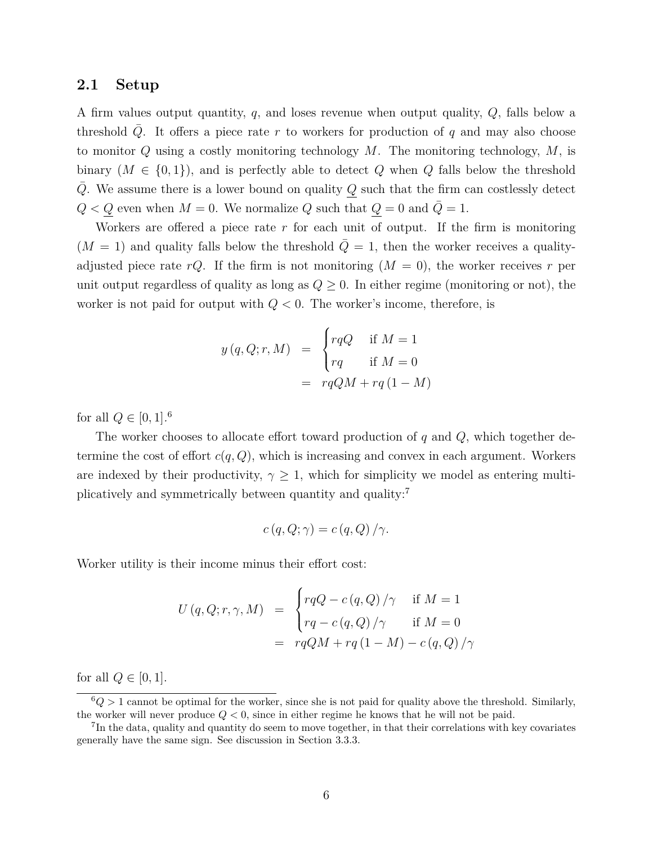#### **2.1 Setup**

A firm values output quantity, *q*, and loses revenue when output quality, *Q*, falls below a threshold *Q*. It offers a piece rate *r* to workers for production of *q* and may also choose to monitor *Q* using a costly monitoring technology *M*. The monitoring technology, *M*, is binary  $(M \in \{0,1\})$ , and is perfectly able to detect Q when Q falls below the threshold *Q*. We assume there is a lower bound on quality *Q* such that the firm can costlessly detect  $Q < Q$  even when  $M = 0$ . We normalize  $Q$  such that  $Q = 0$  and  $\overline{Q} = 1$ .

Workers are offered a piece rate *r* for each unit of output. If the firm is monitoring  $(M = 1)$  and quality falls below the threshold  $\overline{Q} = 1$ , then the worker receives a qualityadjusted piece rate  $rQ$ . If the firm is not monitoring  $(M = 0)$ , the worker receives r per unit output regardless of quality as long as  $Q \geq 0$ . In either regime (monitoring or not), the worker is not paid for output with *Q <* 0. The worker's income, therefore, is

$$
y(q, Q; r, M) = \begin{cases} rqQ & \text{if } M = 1\\ rq & \text{if } M = 0 \end{cases}
$$

$$
= rqQM + rq(1 - M)
$$

for all  $Q \in [0, 1]$ .<sup>[6](#page--1-0)</sup>

The worker chooses to allocate effort toward production of *q* and *Q*, which together determine the cost of effort  $c(q, Q)$ , which is increasing and convex in each argument. Workers are indexed by their productivity,  $\gamma \geq 1$ , which for simplicity we model as entering multiplicatively and symmetrically between quantity and quality:[7](#page--1-0)

$$
c(q, Q; \gamma) = c(q, Q) / \gamma.
$$

Worker utility is their income minus their effort cost:

$$
U(q, Q; r, \gamma, M) = \begin{cases} rqQ - c(q, Q)/\gamma & \text{if } M = 1 \\ rq - c(q, Q)/\gamma & \text{if } M = 0 \end{cases}
$$
  
=  $rqQM + rq(1 - M) - c(q, Q)/\gamma$ 

for all  $Q \in [0, 1]$ .

 $6Q > 1$  cannot be optimal for the worker, since she is not paid for quality above the threshold. Similarly, the worker will never produce *Q <* 0, since in either regime he knows that he will not be paid.

<sup>&</sup>lt;sup>7</sup>In the data, quality and quantity do seem to move together, in that their correlations with key covariates generally have the same sign. See discussion in Section [3.3.3.](#page-18-1)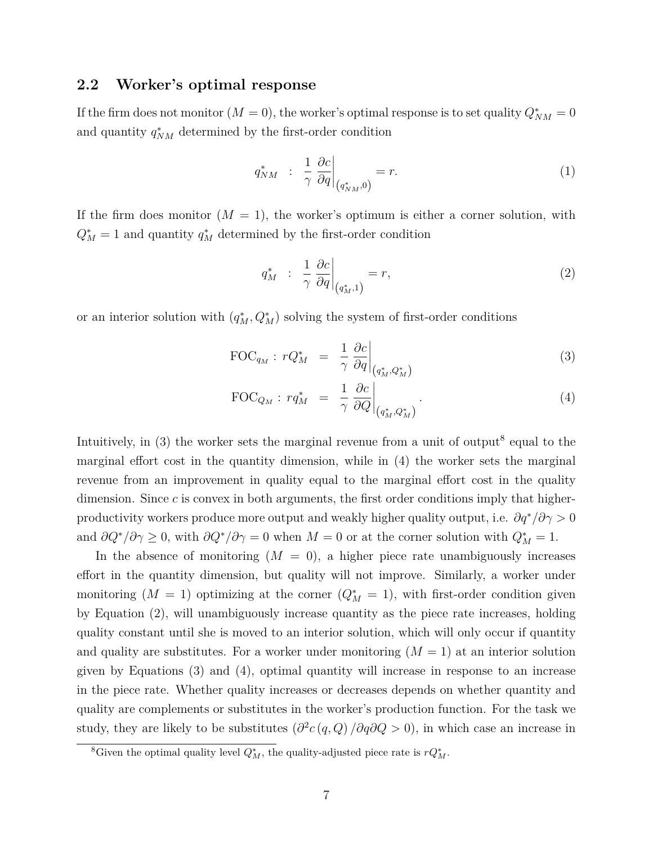## <span id="page-7-2"></span>**2.2 Worker's optimal response**

If the firm does not monitor  $(M = 0)$ , the worker's optimal response is to set quality  $Q_{NM}^* = 0$ and quantity  $q_{NM}^*$  determined by the first-order condition

$$
q_{NM}^* \quad : \quad \frac{1}{\gamma} \left. \frac{\partial c}{\partial q} \right|_{\left(q_{NM}^*,0\right)} = r. \tag{1}
$$

If the firm does monitor  $(M = 1)$ , the worker's optimum is either a corner solution, with  $Q_M^* = 1$  and quantity  $q_M^*$  determined by the first-order condition

<span id="page-7-1"></span>
$$
q_M^* \quad : \quad \frac{1}{\gamma} \left. \frac{\partial c}{\partial q} \right|_{\left( q_M^*, 1 \right)} = r,\tag{2}
$$

or an interior solution with  $(q_M^*, Q_M^*)$  solving the system of first-order conditions

<span id="page-7-0"></span>
$$
\text{FOC}_{q_M}: rQ_M^* = \left. \frac{1}{\gamma} \frac{\partial c}{\partial q} \right|_{(q_M^*, Q_M^*)}
$$
(3)

$$
\text{FOC}_{Q_M}: r q_M^* = \left. \frac{1}{\gamma} \left. \frac{\partial c}{\partial Q} \right|_{\left(q_M^*, Q_M^* \right)} \right. \tag{4}
$$

Intuitively, in  $(3)$  the worker sets the marginal revenue from a unit of output<sup>[8](#page--1-0)</sup> equal to the marginal effort cost in the quantity dimension, while in [\(4\)](#page-7-0) the worker sets the marginal revenue from an improvement in quality equal to the marginal effort cost in the quality dimension. Since *c* is convex in both arguments, the first order conditions imply that higherproductivity workers produce more output and weakly higher quality output, i.e. *∂q*<sup>∗</sup>*/∂γ >* 0 and  $\partial Q^*/\partial \gamma \geq 0$ , with  $\partial Q^*/\partial \gamma = 0$  when  $M = 0$  or at the corner solution with  $Q^*_M = 1$ .

In the absence of monitoring  $(M = 0)$ , a higher piece rate unambiguously increases effort in the quantity dimension, but quality will not improve. Similarly, a worker under monitoring  $(M = 1)$  optimizing at the corner  $(Q_M^* = 1)$ , with first-order condition given by Equation [\(2\)](#page-7-1), will unambiguously increase quantity as the piece rate increases, holding quality constant until she is moved to an interior solution, which will only occur if quantity and quality are substitutes. For a worker under monitoring  $(M = 1)$  at an interior solution given by Equations [\(3\)](#page-7-0) and [\(4\)](#page-7-0), optimal quantity will increase in response to an increase in the piece rate. Whether quality increases or decreases depends on whether quantity and quality are complements or substitutes in the worker's production function. For the task we study, they are likely to be substitutes  $\left(\frac{\partial^2 c(q, Q)}{\partial q \partial Q} > 0\right)$ , in which case an increase in

<sup>&</sup>lt;sup>8</sup>Given the optimal quality level  $Q_M^*$ , the quality-adjusted piece rate is  $rQ_M^*$ .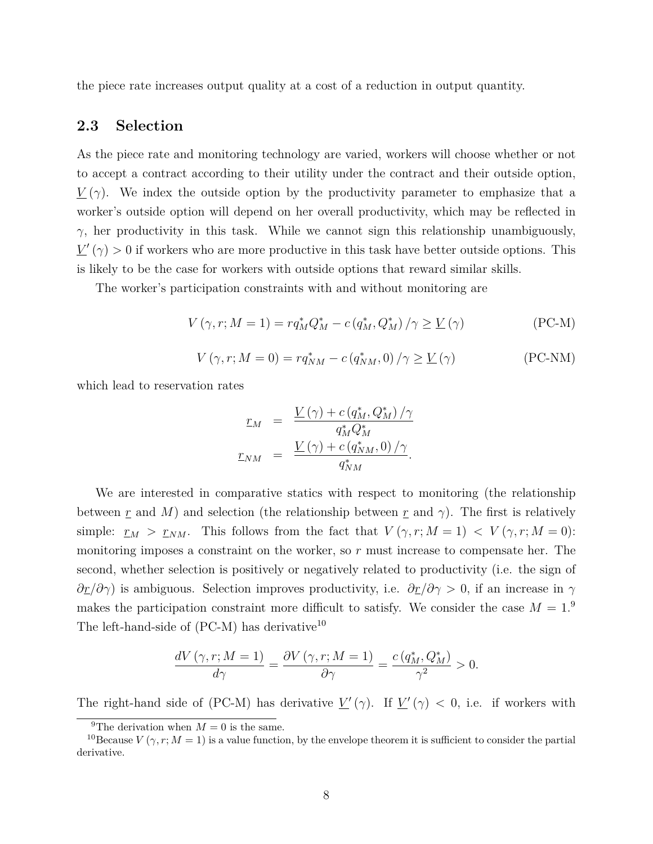the piece rate increases output quality at a cost of a reduction in output quantity.

## <span id="page-8-2"></span>**2.3 Selection**

As the piece rate and monitoring technology are varied, workers will choose whether or not to accept a contract according to their utility under the contract and their outside option,  $V(\gamma)$ . We index the outside option by the productivity parameter to emphasize that a worker's outside option will depend on her overall productivity, which may be reflected in  $γ$ , her productivity in this task. While we cannot sign this relationship unambiguously,  $V'(\gamma) > 0$  if workers who are more productive in this task have better outside options. This is likely to be the case for workers with outside options that reward similar skills.

The worker's participation constraints with and without monitoring are

$$
V(\gamma, r; M = 1) = r q_M^* Q_M^* - c (q_M^*, Q_M^*) / \gamma \ge \underline{V}(\gamma)
$$
 (PC-M)

$$
V(\gamma, r; M = 0) = r q_{NM}^* - c (q_{NM}^*, 0) / \gamma \ge \underline{V}(\gamma)
$$
 (PC-NM)

which lead to reservation rates

<span id="page-8-1"></span><span id="page-8-0"></span>
$$
\underline{r}_M = \frac{\underline{V}(\gamma) + c (q_M^*, Q_M^*) / \gamma}{q_M^* Q_M^*}
$$
\n
$$
\underline{r}_{NM} = \frac{\underline{V}(\gamma) + c (q_{NM}^*, 0) / \gamma}{q_{NM}^*}.
$$

We are interested in comparative statics with respect to monitoring (the relationship between <u>r</u> and M) and selection (the relationship between <u>r</u> and  $\gamma$ ). The first is relatively simple:  $r_M > r_{NM}$ . This follows from the fact that  $V(\gamma, r; M = 1) < V(\gamma, r; M = 0)$ : monitoring imposes a constraint on the worker, so *r* must increase to compensate her. The second, whether selection is positively or negatively related to productivity (i.e. the sign of *∂r/∂γ*) is ambiguous. Selection improves productivity, i.e. *∂r/∂γ >* 0, if an increase in *γ* makes the participation constraint more difficult to satisfy. We consider the case  $M = 1$ .<sup>[9](#page--1-0)</sup> The left-hand-side of  $(PC-M)$  has derivative<sup>[10](#page--1-0)</sup>

$$
\frac{dV(\gamma, r; M=1)}{d\gamma} = \frac{\partial V(\gamma, r; M=1)}{\partial \gamma} = \frac{c(q_M^*, Q_M^*)}{\gamma^2} > 0.
$$

The right-hand side of [\(PC-M\)](#page-8-0) has derivative  $\underline{V}'(\gamma)$ . If  $\underline{V}'(\gamma) < 0$ , i.e. if workers with

<sup>&</sup>lt;sup>9</sup>The derivation when  $M = 0$  is the same.

<sup>&</sup>lt;sup>10</sup>Because *V* ( $\gamma$ , *r*; *M* = 1) is a value function, by the envelope theorem it is sufficient to consider the partial derivative.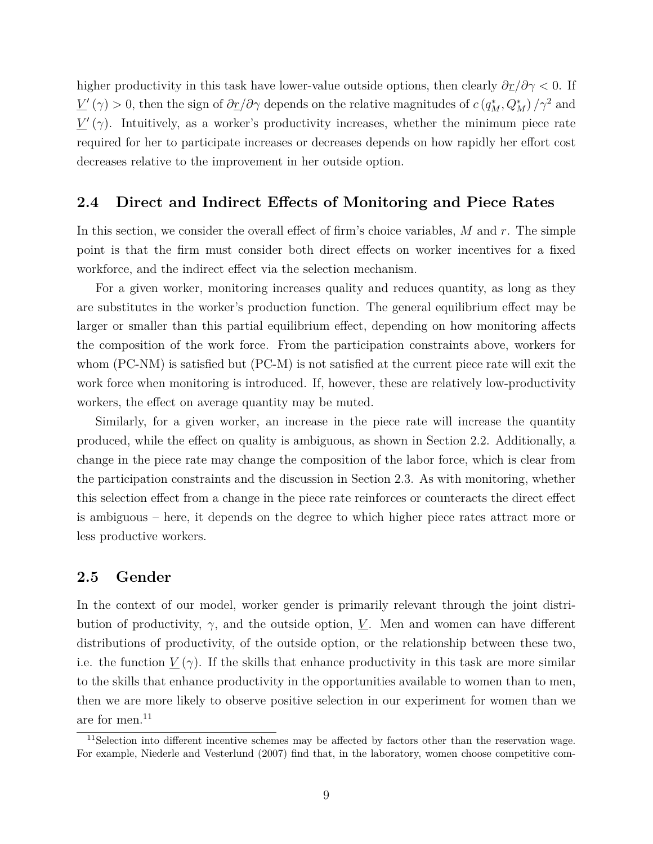higher productivity in this task have lower-value outside options, then clearly *∂r/∂γ <* 0. If  $\underline{V}'(\gamma) > 0$ , then the sign of  $\partial$ *r*/∂γ depends on the relative magnitudes of  $c$  ( $q_M^*, Q_M^*$ )/ $\gamma^2$  and  $V'(\gamma)$ . Intuitively, as a worker's productivity increases, whether the minimum piece rate required for her to participate increases or decreases depends on how rapidly her effort cost decreases relative to the improvement in her outside option.

### **2.4 Direct and Indirect Effects of Monitoring and Piece Rates**

In this section, we consider the overall effect of firm's choice variables, *M* and *r*. The simple point is that the firm must consider both direct effects on worker incentives for a fixed workforce, and the indirect effect via the selection mechanism.

For a given worker, monitoring increases quality and reduces quantity, as long as they are substitutes in the worker's production function. The general equilibrium effect may be larger or smaller than this partial equilibrium effect, depending on how monitoring affects the composition of the work force. From the participation constraints above, workers for whom [\(PC-NM\)](#page-8-1) is satisfied but [\(PC-M\)](#page-8-0) is not satisfied at the current piece rate will exit the work force when monitoring is introduced. If, however, these are relatively low-productivity workers, the effect on average quantity may be muted.

Similarly, for a given worker, an increase in the piece rate will increase the quantity produced, while the effect on quality is ambiguous, as shown in Section [2.2.](#page-7-2) Additionally, a change in the piece rate may change the composition of the labor force, which is clear from the participation constraints and the discussion in Section [2.3.](#page-8-2) As with monitoring, whether this selection effect from a change in the piece rate reinforces or counteracts the direct effect is ambiguous – here, it depends on the degree to which higher piece rates attract more or less productive workers.

## **2.5 Gender**

In the context of our model, worker gender is primarily relevant through the joint distribution of productivity,  $\gamma$ , and the outside option, <u>V</u>. Men and women can have different distributions of productivity, of the outside option, or the relationship between these two, i.e. the function  $\underline{V}(\gamma)$ . If the skills that enhance productivity in this task are more similar to the skills that enhance productivity in the opportunities available to women than to men, then we are more likely to observe positive selection in our experiment for women than we are for men. $^{11}$  $^{11}$  $^{11}$ 

<sup>&</sup>lt;sup>11</sup>Selection into different incentive schemes may be affected by factors other than the reservation wage. For example, [Niederle and Vesterlund](#page-27-12) [\(2007\)](#page-27-12) find that, in the laboratory, women choose competitive com-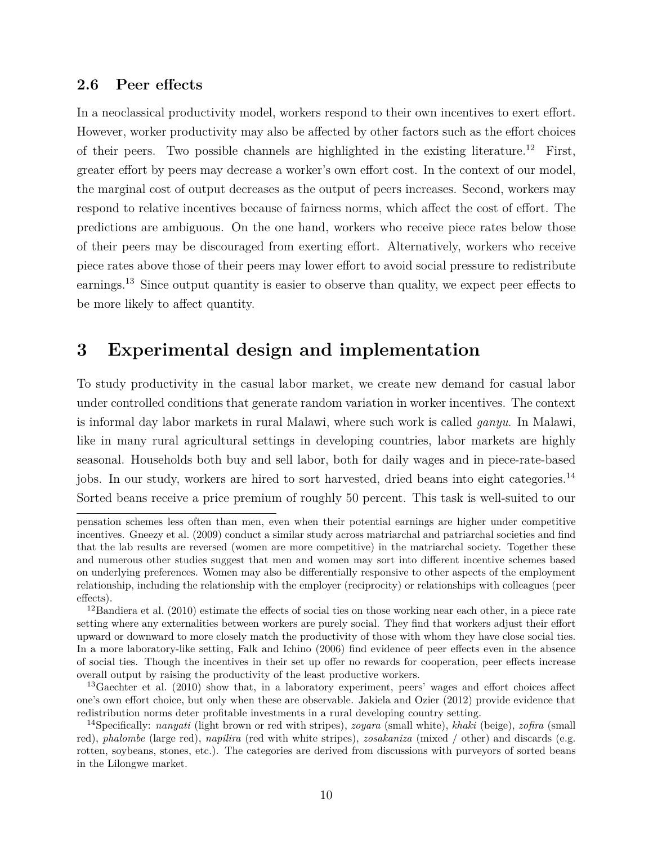## **2.6 Peer effects**

In a neoclassical productivity model, workers respond to their own incentives to exert effort. However, worker productivity may also be affected by other factors such as the effort choices of their peers. Two possible channels are highlighted in the existing literature.[12](#page--1-0) First, greater effort by peers may decrease a worker's own effort cost. In the context of our model, the marginal cost of output decreases as the output of peers increases. Second, workers may respond to relative incentives because of fairness norms, which affect the cost of effort. The predictions are ambiguous. On the one hand, workers who receive piece rates below those of their peers may be discouraged from exerting effort. Alternatively, workers who receive piece rates above those of their peers may lower effort to avoid social pressure to redistribute earnings.<sup>[13](#page--1-0)</sup> Since output quantity is easier to observe than quality, we expect peer effects to be more likely to affect quantity.

# <span id="page-10-0"></span>**3 Experimental design and implementation**

To study productivity in the casual labor market, we create new demand for casual labor under controlled conditions that generate random variation in worker incentives. The context is informal day labor markets in rural Malawi, where such work is called *ganyu*. In Malawi, like in many rural agricultural settings in developing countries, labor markets are highly seasonal. Households both buy and sell labor, both for daily wages and in piece-rate-based jobs. In our study, workers are hired to sort harvested, dried beans into eight categories.<sup>[14](#page--1-0)</sup> Sorted beans receive a price premium of roughly 50 percent. This task is well-suited to our

pensation schemes less often than men, even when their potential earnings are higher under competitive incentives. [Gneezy et al.](#page-27-13) [\(2009\)](#page-27-13) conduct a similar study across matriarchal and patriarchal societies and find that the lab results are reversed (women are more competitive) in the matriarchal society. Together these and numerous other studies suggest that men and women may sort into different incentive schemes based on underlying preferences. Women may also be differentially responsive to other aspects of the employment relationship, including the relationship with the employer (reciprocity) or relationships with colleagues (peer effects).

<sup>&</sup>lt;sup>12</sup>[Bandiera et al.](#page-26-9) [\(2010\)](#page-26-9) estimate the effects of social ties on those working near each other, in a piece rate setting where any externalities between workers are purely social. They find that workers adjust their effort upward or downward to more closely match the productivity of those with whom they have close social ties. In a more laboratory-like setting, [Falk and Ichino](#page-27-14) [\(2006\)](#page-27-14) find evidence of peer effects even in the absence of social ties. Though the incentives in their set up offer no rewards for cooperation, peer effects increase overall output by raising the productivity of the least productive workers.

<sup>&</sup>lt;sup>13</sup>[Gaechter et al.](#page-27-3) [\(2010\)](#page-27-3) show that, in a laboratory experiment, peers' wages and effort choices affect one's own effort choice, but only when these are observable. [Jakiela and Ozier](#page-27-10) [\(2012\)](#page-27-10) provide evidence that redistribution norms deter profitable investments in a rural developing country setting.

<sup>14</sup>Specifically: *nanyati* (light brown or red with stripes), *zoyara* (small white), *khaki* (beige), *zofira* (small red), *phalombe* (large red), *napilira* (red with white stripes), *zosakaniza* (mixed / other) and discards (e.g. rotten, soybeans, stones, etc.). The categories are derived from discussions with purveyors of sorted beans in the Lilongwe market.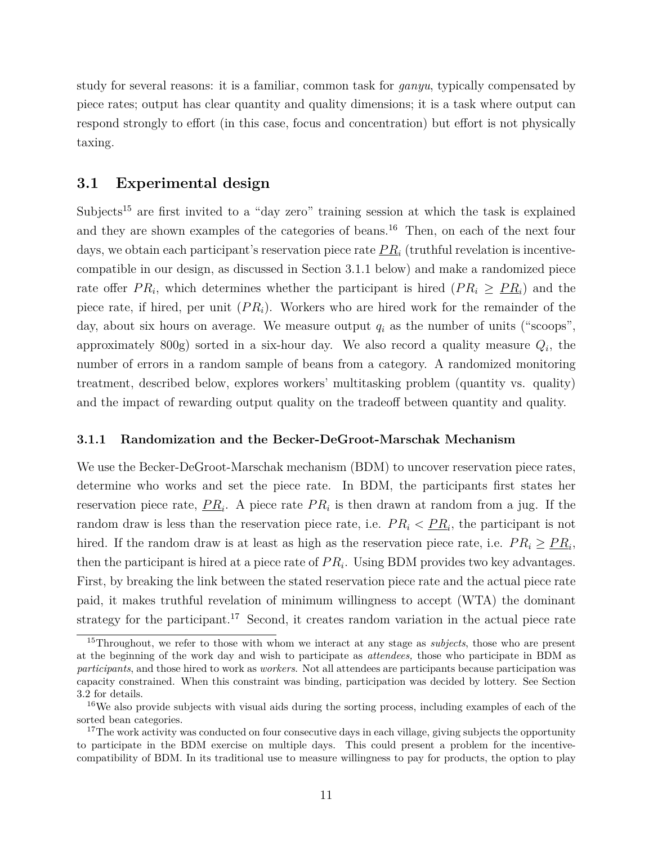study for several reasons: it is a familiar, common task for *ganyu*, typically compensated by piece rates; output has clear quantity and quality dimensions; it is a task where output can respond strongly to effort (in this case, focus and concentration) but effort is not physically taxing.

## **3.1 Experimental design**

Subjects<sup>[15](#page--1-0)</sup> are first invited to a "day zero" training session at which the task is explained and they are shown examples of the categories of beans.<sup>[16](#page--1-0)</sup> Then, on each of the next four days, we obtain each participant's reservation piece rate  $PR_i$  (truthful revelation is incentivecompatible in our design, as discussed in Section [3.1.1](#page-11-0) below) and make a randomized piece rate offer  $PR_i$ , which determines whether the participant is hired  $(PR_i \geq PR_i)$  and the piece rate, if hired, per unit (*P Ri*). Workers who are hired work for the remainder of the day, about six hours on average. We measure output  $q_i$  as the number of units ("scoops", approximately  $800g$ ) sorted in a six-hour day. We also record a quality measure  $Q_i$ , the number of errors in a random sample of beans from a category. A randomized monitoring treatment, described below, explores workers' multitasking problem (quantity vs. quality) and the impact of rewarding output quality on the tradeoff between quantity and quality.

#### <span id="page-11-0"></span>**3.1.1 Randomization and the Becker-DeGroot-Marschak Mechanism**

We use the Becker-DeGroot-Marschak mechanism (BDM) to uncover reservation piece rates, determine who works and set the piece rate. In BDM, the participants first states her reservation piece rate,  $PR_i$ . A piece rate  $PR_i$  is then drawn at random from a jug. If the random draw is less than the reservation piece rate, i.e.  $PR_i \leq PR_i$ , the participant is not hired. If the random draw is at least as high as the reservation piece rate, i.e.  $PR_i \geq PR_i$ , then the participant is hired at a piece rate of  $PR_i$ . Using BDM provides two key advantages. First, by breaking the link between the stated reservation piece rate and the actual piece rate paid, it makes truthful revelation of minimum willingness to accept (WTA) the dominant strategy for the participant.<sup>[17](#page--1-0)</sup> Second, it creates random variation in the actual piece rate

<sup>15</sup>Throughout, we refer to those with whom we interact at any stage as *subjects*, those who are present at the beginning of the work day and wish to participate as *attendees,* those who participate in BDM as *participants*, and those hired to work as *workers*. Not all attendees are participants because participation was capacity constrained. When this constraint was binding, participation was decided by lottery. See Section [3.2](#page-14-0) for details.

<sup>16</sup>We also provide subjects with visual aids during the sorting process, including examples of each of the sorted bean categories.

<sup>&</sup>lt;sup>17</sup>The work activity was conducted on four consecutive days in each village, giving subjects the opportunity to participate in the BDM exercise on multiple days. This could present a problem for the incentivecompatibility of BDM. In its traditional use to measure willingness to pay for products, the option to play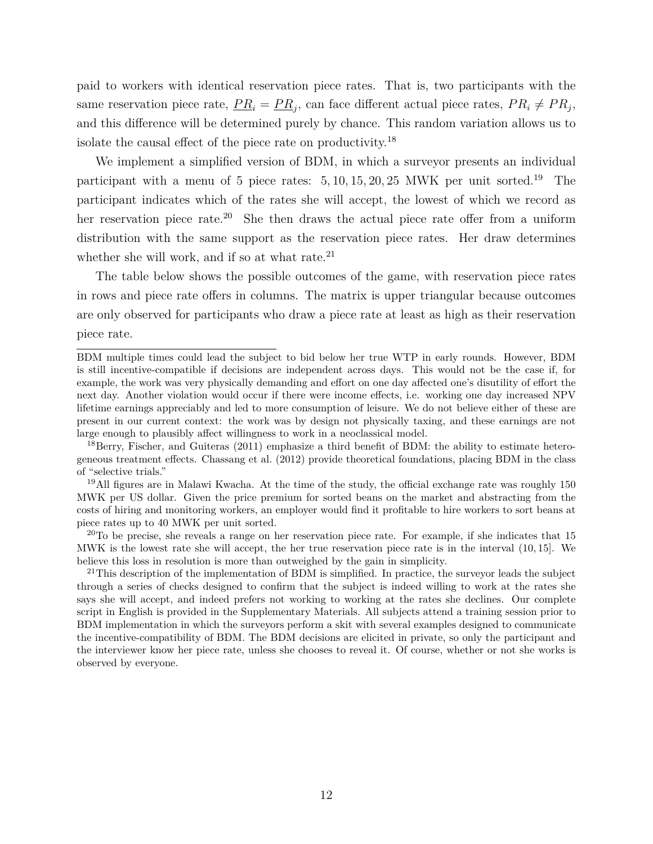paid to workers with identical reservation piece rates. That is, two participants with the same reservation piece rate,  $PR_i = PR_j$ , can face different actual piece rates,  $PR_i \neq PR_j$ , and this difference will be determined purely by chance. This random variation allows us to isolate the causal effect of the piece rate on productivity.<sup>[18](#page--1-0)</sup>

We implement a simplified version of BDM, in which a surveyor presents an individual participant with a menu of 5 piece rates: 5*,* 10*,* 15*,* 20*,* 25 MWK per unit sorted.[19](#page--1-0) The participant indicates which of the rates she will accept, the lowest of which we record as her reservation piece rate.<sup>[20](#page--1-0)</sup> She then draws the actual piece rate offer from a uniform distribution with the same support as the reservation piece rates. Her draw determines whether she will work, and if so at what rate. $21$ 

The table below shows the possible outcomes of the game, with reservation piece rates in rows and piece rate offers in columns. The matrix is upper triangular because outcomes are only observed for participants who draw a piece rate at least as high as their reservation piece rate.

<sup>20</sup>To be precise, she reveals a range on her reservation piece rate. For example, if she indicates that  $15$ MWK is the lowest rate she will accept, the her true reservation piece rate is in the interval (10*,* 15]. We believe this loss in resolution is more than outweighed by the gain in simplicity.

 $21$ This description of the implementation of BDM is simplified. In practice, the surveyor leads the subject through a series of checks designed to confirm that the subject is indeed willing to work at the rates she says she will accept, and indeed prefers not working to working at the rates she declines. Our complete script in English is provided in the Supplementary Materials. All subjects attend a training session prior to BDM implementation in which the surveyors perform a skit with several examples designed to communicate the incentive-compatibility of BDM. The BDM decisions are elicited in private, so only the participant and the interviewer know her piece rate, unless she chooses to reveal it. Of course, whether or not she works is observed by everyone.

BDM multiple times could lead the subject to bid below her true WTP in early rounds. However, BDM is still incentive-compatible if decisions are independent across days. This would not be the case if, for example, the work was very physically demanding and effort on one day affected one's disutility of effort the next day. Another violation would occur if there were income effects, i.e. working one day increased NPV lifetime earnings appreciably and led to more consumption of leisure. We do not believe either of these are present in our current context: the work was by design not physically taxing, and these earnings are not large enough to plausibly affect willingness to work in a neoclassical model.

<sup>&</sup>lt;sup>18</sup>[Berry, Fischer, and Guiteras](#page-26-12) [\(2011\)](#page-26-12) emphasize a third benefit of BDM: the ability to estimate heterogeneous treatment effects. [Chassang et al.](#page-26-13) [\(2012\)](#page-26-13) provide theoretical foundations, placing BDM in the class of "selective trials."

<sup>19</sup>All figures are in Malawi Kwacha. At the time of the study, the official exchange rate was roughly 150 MWK per US dollar. Given the price premium for sorted beans on the market and abstracting from the costs of hiring and monitoring workers, an employer would find it profitable to hire workers to sort beans at piece rates up to 40 MWK per unit sorted.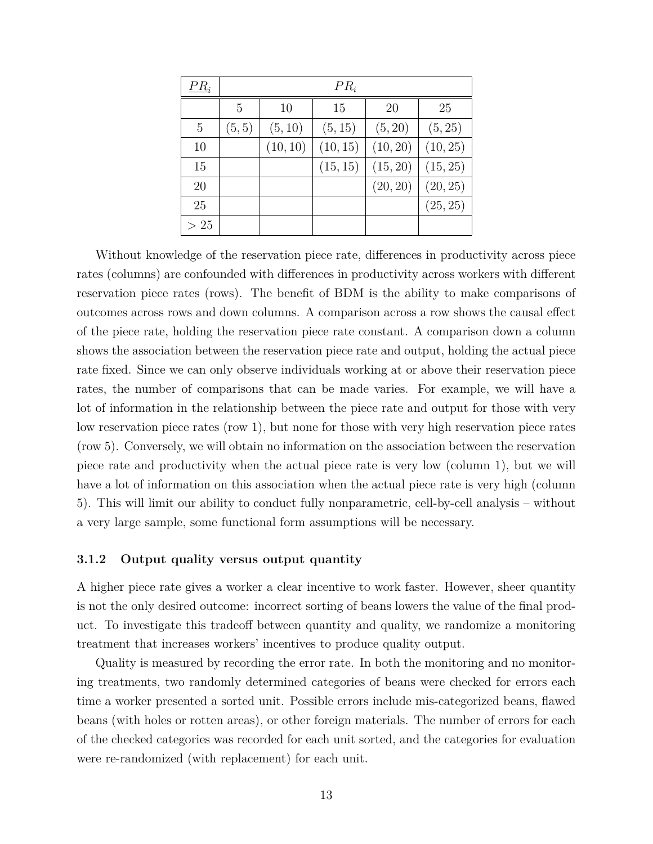| $PR_i$ |        |          | $PR_i$   |           |          |
|--------|--------|----------|----------|-----------|----------|
|        | 5      | 10       | 15       | <b>20</b> | 25       |
| 5      | (5, 5) | (5, 10)  | (5, 15)  | (5, 20)   | (5, 25)  |
| 10     |        | (10, 10) | (10, 15) | (10, 20)  | (10, 25) |
| 15     |        |          | (15, 15) | (15, 20)  | (15, 25) |
| 20     |        |          |          | (20, 20)  | (20, 25) |
| 25     |        |          |          |           | (25, 25) |
| >25    |        |          |          |           |          |

Without knowledge of the reservation piece rate, differences in productivity across piece rates (columns) are confounded with differences in productivity across workers with different reservation piece rates (rows). The benefit of BDM is the ability to make comparisons of outcomes across rows and down columns. A comparison across a row shows the causal effect of the piece rate, holding the reservation piece rate constant. A comparison down a column shows the association between the reservation piece rate and output, holding the actual piece rate fixed. Since we can only observe individuals working at or above their reservation piece rates, the number of comparisons that can be made varies. For example, we will have a lot of information in the relationship between the piece rate and output for those with very low reservation piece rates (row 1), but none for those with very high reservation piece rates (row 5). Conversely, we will obtain no information on the association between the reservation piece rate and productivity when the actual piece rate is very low (column 1), but we will have a lot of information on this association when the actual piece rate is very high (column 5). This will limit our ability to conduct fully nonparametric, cell-by-cell analysis – without a very large sample, some functional form assumptions will be necessary.

#### **3.1.2 Output quality versus output quantity**

A higher piece rate gives a worker a clear incentive to work faster. However, sheer quantity is not the only desired outcome: incorrect sorting of beans lowers the value of the final product. To investigate this tradeoff between quantity and quality, we randomize a monitoring treatment that increases workers' incentives to produce quality output.

Quality is measured by recording the error rate. In both the monitoring and no monitoring treatments, two randomly determined categories of beans were checked for errors each time a worker presented a sorted unit. Possible errors include mis-categorized beans, flawed beans (with holes or rotten areas), or other foreign materials. The number of errors for each of the checked categories was recorded for each unit sorted, and the categories for evaluation were re-randomized (with replacement) for each unit.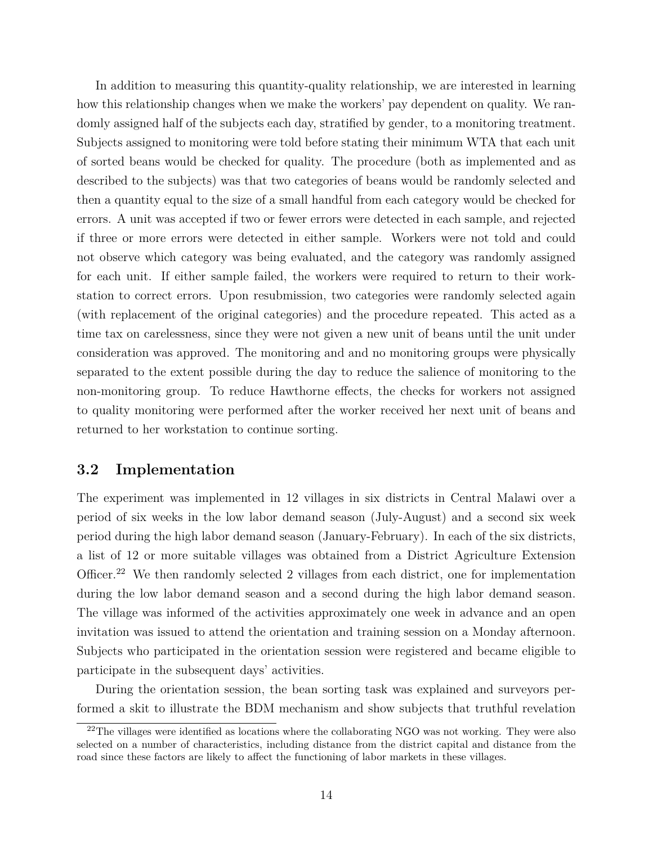In addition to measuring this quantity-quality relationship, we are interested in learning how this relationship changes when we make the workers' pay dependent on quality. We randomly assigned half of the subjects each day, stratified by gender, to a monitoring treatment. Subjects assigned to monitoring were told before stating their minimum WTA that each unit of sorted beans would be checked for quality. The procedure (both as implemented and as described to the subjects) was that two categories of beans would be randomly selected and then a quantity equal to the size of a small handful from each category would be checked for errors. A unit was accepted if two or fewer errors were detected in each sample, and rejected if three or more errors were detected in either sample. Workers were not told and could not observe which category was being evaluated, and the category was randomly assigned for each unit. If either sample failed, the workers were required to return to their workstation to correct errors. Upon resubmission, two categories were randomly selected again (with replacement of the original categories) and the procedure repeated. This acted as a time tax on carelessness, since they were not given a new unit of beans until the unit under consideration was approved. The monitoring and and no monitoring groups were physically separated to the extent possible during the day to reduce the salience of monitoring to the non-monitoring group. To reduce Hawthorne effects, the checks for workers not assigned to quality monitoring were performed after the worker received her next unit of beans and returned to her workstation to continue sorting.

## <span id="page-14-0"></span>**3.2 Implementation**

The experiment was implemented in 12 villages in six districts in Central Malawi over a period of six weeks in the low labor demand season (July-August) and a second six week period during the high labor demand season (January-February). In each of the six districts, a list of 12 or more suitable villages was obtained from a District Agriculture Extension Officer.<sup>[22](#page--1-0)</sup> We then randomly selected 2 villages from each district, one for implementation during the low labor demand season and a second during the high labor demand season. The village was informed of the activities approximately one week in advance and an open invitation was issued to attend the orientation and training session on a Monday afternoon. Subjects who participated in the orientation session were registered and became eligible to participate in the subsequent days' activities.

During the orientation session, the bean sorting task was explained and surveyors performed a skit to illustrate the BDM mechanism and show subjects that truthful revelation

 $22$ The villages were identified as locations where the collaborating NGO was not working. They were also selected on a number of characteristics, including distance from the district capital and distance from the road since these factors are likely to affect the functioning of labor markets in these villages.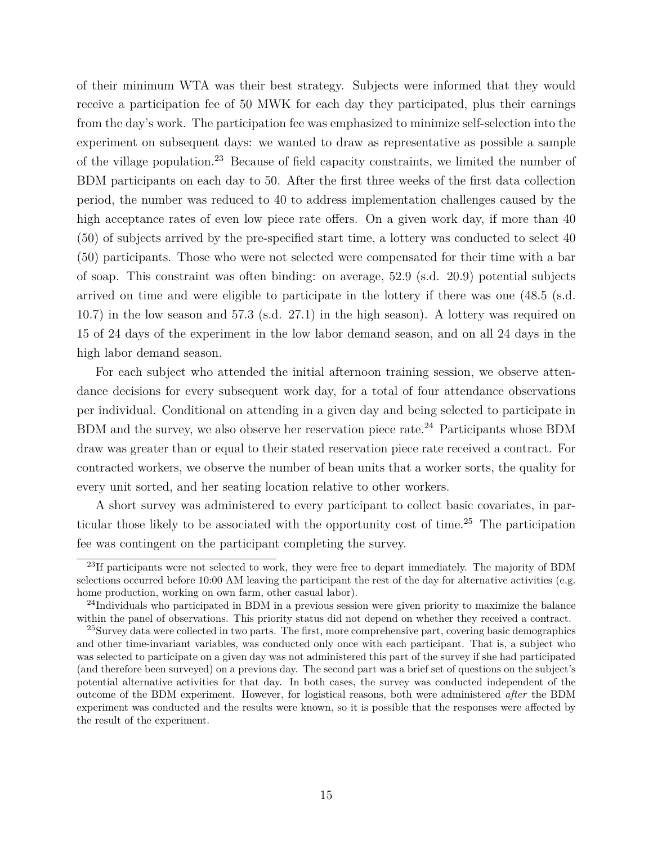of their minimum WTA was their best strategy. Subjects were informed that they would receive a participation fee of 50 MWK for each day they participated, plus their earnings from the day's work. The participation fee was emphasized to minimize self-selection into the experiment on subsequent days: we wanted to draw as representative as possible a sample of the village population.[23](#page--1-0) Because of field capacity constraints, we limited the number of BDM participants on each day to 50. After the first three weeks of the first data collection period, the number was reduced to 40 to address implementation challenges caused by the high acceptance rates of even low piece rate offers. On a given work day, if more than 40 (50) of subjects arrived by the pre-specified start time, a lottery was conducted to select 40 (50) participants. Those who were not selected were compensated for their time with a bar of soap. This constraint was often binding: on average, 52.9 (s.d. 20.9) potential subjects arrived on time and were eligible to participate in the lottery if there was one (48.5 (s.d. 10.7) in the low season and 57.3 (s.d. 27.1) in the high season). A lottery was required on 15 of 24 days of the experiment in the low labor demand season, and on all 24 days in the high labor demand season.

For each subject who attended the initial afternoon training session, we observe attendance decisions for every subsequent work day, for a total of four attendance observations per individual. Conditional on attending in a given day and being selected to participate in BDM and the survey, we also observe her reservation piece rate.<sup>[24](#page--1-0)</sup> Participants whose BDM draw was greater than or equal to their stated reservation piece rate received a contract. For contracted workers, we observe the number of bean units that a worker sorts, the quality for every unit sorted, and her seating location relative to other workers.

A short survey was administered to every participant to collect basic covariates, in particular those likely to be associated with the opportunity cost of time.[25](#page--1-0) The participation fee was contingent on the participant completing the survey.

<sup>&</sup>lt;sup>23</sup>If participants were not selected to work, they were free to depart immediately. The majority of BDM selections occurred before 10:00 AM leaving the participant the rest of the day for alternative activities (e.g. home production, working on own farm, other casual labor).

<sup>&</sup>lt;sup>24</sup>Individuals who participated in BDM in a previous session were given priority to maximize the balance within the panel of observations. This priority status did not depend on whether they received a contract.

<sup>&</sup>lt;sup>25</sup>Survey data were collected in two parts. The first, more comprehensive part, covering basic demographics and other time-invariant variables, was conducted only once with each participant. That is, a subject who was selected to participate on a given day was not administered this part of the survey if she had participated (and therefore been surveyed) on a previous day. The second part was a brief set of questions on the subject's potential alternative activities for that day. In both cases, the survey was conducted independent of the outcome of the BDM experiment. However, for logistical reasons, both were administered *after* the BDM experiment was conducted and the results were known, so it is possible that the responses were affected by the result of the experiment.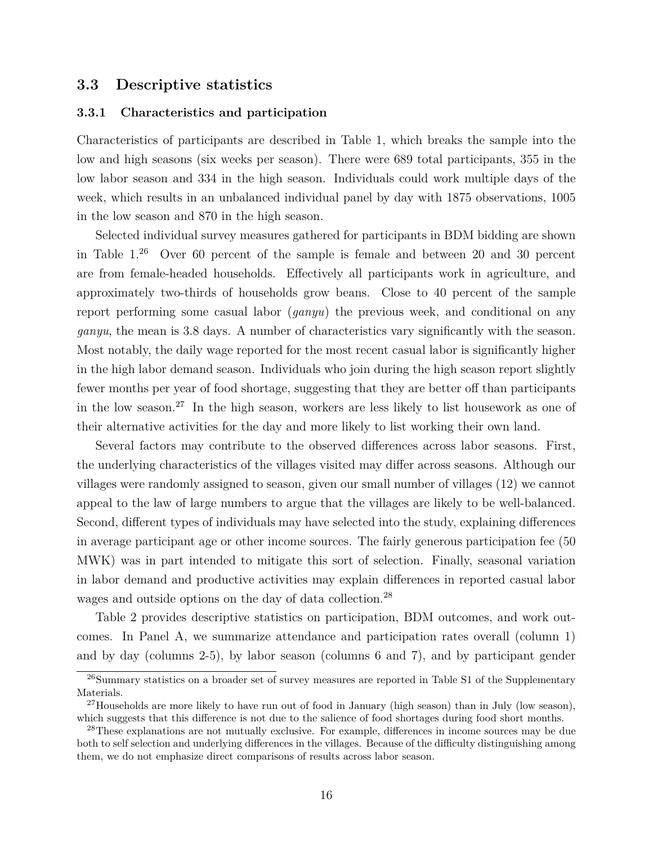## **3.3 Descriptive statistics**

#### **3.3.1 Characteristics and participation**

Characteristics of participants are described in Table [1,](#page-29-0) which breaks the sample into the low and high seasons (six weeks per season). There were 689 total participants, 355 in the low labor season and 334 in the high season. Individuals could work multiple days of the week, which results in an unbalanced individual panel by day with 1875 observations, 1005 in the low season and 870 in the high season.

Selected individual survey measures gathered for participants in BDM bidding are shown in Table [1.](#page-29-0)[26](#page--1-0) Over 60 percent of the sample is female and between 20 and 30 percent are from female-headed households. Effectively all participants work in agriculture, and approximately two-thirds of households grow beans. Close to 40 percent of the sample report performing some casual labor (*ganyu*) the previous week, and conditional on any *ganyu*, the mean is 3.8 days. A number of characteristics vary significantly with the season. Most notably, the daily wage reported for the most recent casual labor is significantly higher in the high labor demand season. Individuals who join during the high season report slightly fewer months per year of food shortage, suggesting that they are better off than participants in the low season.<sup>[27](#page--1-0)</sup> In the high season, workers are less likely to list housework as one of their alternative activities for the day and more likely to list working their own land.

Several factors may contribute to the observed differences across labor seasons. First, the underlying characteristics of the villages visited may differ across seasons. Although our villages were randomly assigned to season, given our small number of villages (12) we cannot appeal to the law of large numbers to argue that the villages are likely to be well-balanced. Second, different types of individuals may have selected into the study, explaining differences in average participant age or other income sources. The fairly generous participation fee (50 MWK) was in part intended to mitigate this sort of selection. Finally, seasonal variation in labor demand and productive activities may explain differences in reported casual labor wages and outside options on the day of data collection.<sup>[28](#page--1-0)</sup>

Table 2 provides descriptive statistics on participation, BDM outcomes, and work outcomes. In Panel A, we summarize attendance and participation rates overall (column 1) and by day (columns 2-5), by labor season (columns 6 and 7), and by participant gender

<sup>&</sup>lt;sup>26</sup>Summary statistics on a broader set of survey measures are reported in Table S1 of the Supplementary Materials.

<sup>&</sup>lt;sup>27</sup>Households are more likely to have run out of food in January (high season) than in July (low season), which suggests that this difference is not due to the salience of food shortages during food short months.

<sup>&</sup>lt;sup>28</sup>These explanations are not mutually exclusive. For example, differences in income sources may be due both to self selection and underlying differences in the villages. Because of the difficulty distinguishing among them, we do not emphasize direct comparisons of results across labor season.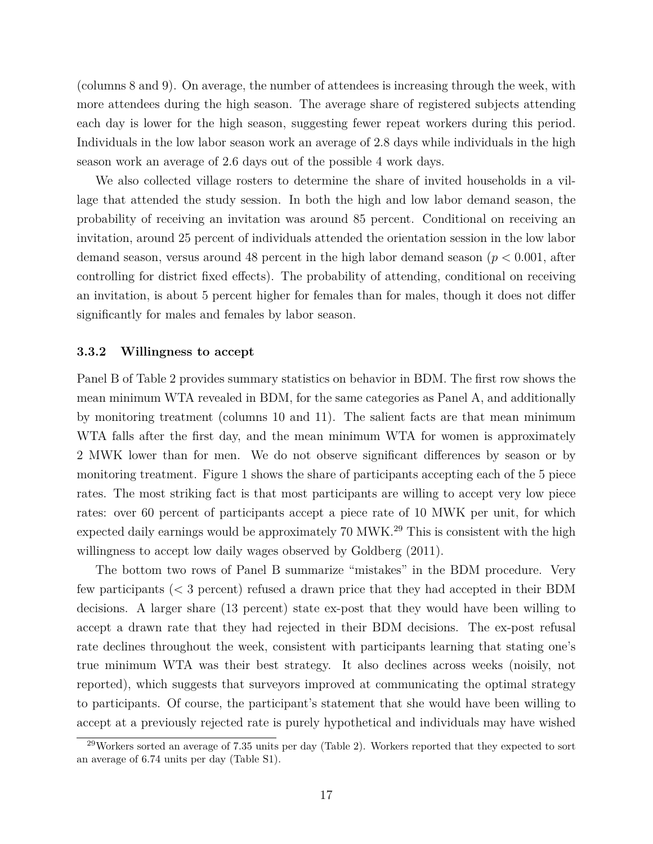(columns 8 and 9). On average, the number of attendees is increasing through the week, with more attendees during the high season. The average share of registered subjects attending each day is lower for the high season, suggesting fewer repeat workers during this period. Individuals in the low labor season work an average of 2.8 days while individuals in the high season work an average of 2.6 days out of the possible 4 work days.

We also collected village rosters to determine the share of invited households in a village that attended the study session. In both the high and low labor demand season, the probability of receiving an invitation was around 85 percent. Conditional on receiving an invitation, around 25 percent of individuals attended the orientation session in the low labor demand season, versus around 48 percent in the high labor demand season (*p <* 0*.*001, after controlling for district fixed effects). The probability of attending, conditional on receiving an invitation, is about 5 percent higher for females than for males, though it does not differ significantly for males and females by labor season.

#### **3.3.2 Willingness to accept**

Panel B of Table [2](#page-30-0) provides summary statistics on behavior in BDM. The first row shows the mean minimum WTA revealed in BDM, for the same categories as Panel A, and additionally by monitoring treatment (columns 10 and 11). The salient facts are that mean minimum WTA falls after the first day, and the mean minimum WTA for women is approximately 2 MWK lower than for men. We do not observe significant differences by season or by monitoring treatment. Figure [1](#page-37-0) shows the share of participants accepting each of the 5 piece rates. The most striking fact is that most participants are willing to accept very low piece rates: over 60 percent of participants accept a piece rate of 10 MWK per unit, for which expected daily earnings would be approximately  $70 \text{ MWK}^{29}$  $70 \text{ MWK}^{29}$  $70 \text{ MWK}^{29}$ . This is consistent with the high willingness to accept low daily wages observed by [Goldberg](#page-27-2)  $(2011)$ .

The bottom two rows of Panel B summarize "mistakes" in the BDM procedure. Very few participants (*<* 3 percent) refused a drawn price that they had accepted in their BDM decisions. A larger share (13 percent) state ex-post that they would have been willing to accept a drawn rate that they had rejected in their BDM decisions. The ex-post refusal rate declines throughout the week, consistent with participants learning that stating one's true minimum WTA was their best strategy. It also declines across weeks (noisily, not reported), which suggests that surveyors improved at communicating the optimal strategy to participants. Of course, the participant's statement that she would have been willing to accept at a previously rejected rate is purely hypothetical and individuals may have wished

<sup>29</sup>Workers sorted an average of 7.35 units per day (Table [2\)](#page-30-0). Workers reported that they expected to sort an average of 6.74 units per day (Table S1).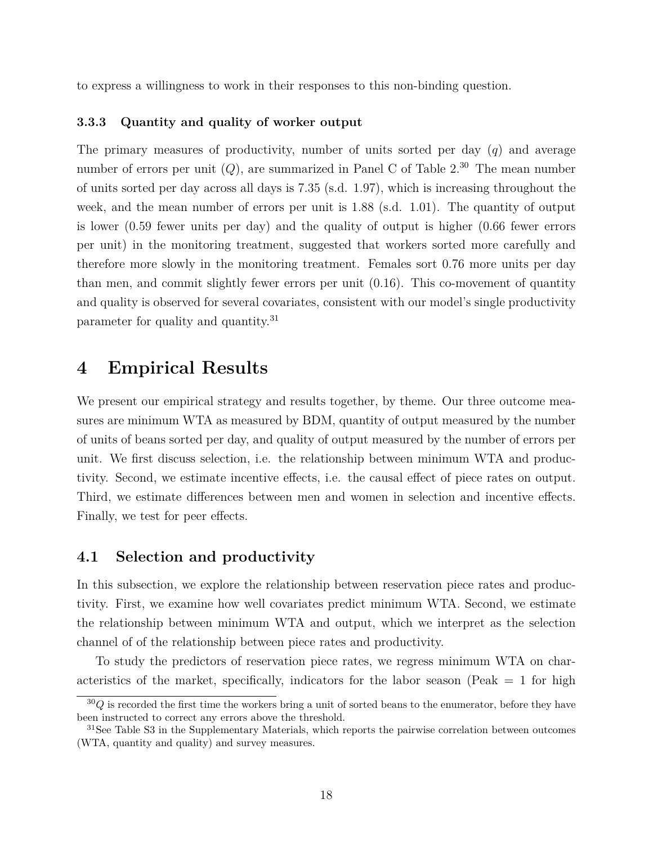to express a willingness to work in their responses to this non-binding question.

#### <span id="page-18-1"></span>**3.3.3 Quantity and quality of worker output**

The primary measures of productivity, number of units sorted per day (*q*) and average number of errors per unit  $(Q)$ , are summarized in Panel C of Table  $2^{30}$  $2^{30}$  $2^{30}$ . The mean number of units sorted per day across all days is 7.35 (s.d. 1.97), which is increasing throughout the week, and the mean number of errors per unit is 1.88 (s.d. 1.01). The quantity of output is lower (0.59 fewer units per day) and the quality of output is higher (0.66 fewer errors per unit) in the monitoring treatment, suggested that workers sorted more carefully and therefore more slowly in the monitoring treatment. Females sort 0.76 more units per day than men, and commit slightly fewer errors per unit (0.16). This co-movement of quantity and quality is observed for several covariates, consistent with our model's single productivity parameter for quality and quantity.[31](#page--1-0)

## <span id="page-18-0"></span>**4 Empirical Results**

We present our empirical strategy and results together, by theme. Our three outcome measures are minimum WTA as measured by BDM, quantity of output measured by the number of units of beans sorted per day, and quality of output measured by the number of errors per unit. We first discuss selection, i.e. the relationship between minimum WTA and productivity. Second, we estimate incentive effects, i.e. the causal effect of piece rates on output. Third, we estimate differences between men and women in selection and incentive effects. Finally, we test for peer effects.

## <span id="page-18-2"></span>**4.1 Selection and productivity**

In this subsection, we explore the relationship between reservation piece rates and productivity. First, we examine how well covariates predict minimum WTA. Second, we estimate the relationship between minimum WTA and output, which we interpret as the selection channel of of the relationship between piece rates and productivity.

To study the predictors of reservation piece rates, we regress minimum WTA on characteristics of the market, specifically, indicators for the labor season (Peak  $= 1$  for high

 $30Q$  is recorded the first time the workers bring a unit of sorted beans to the enumerator, before they have been instructed to correct any errors above the threshold.

<sup>&</sup>lt;sup>31</sup>See Table S3 in the Supplementary Materials, which reports the pairwise correlation between outcomes (WTA, quantity and quality) and survey measures.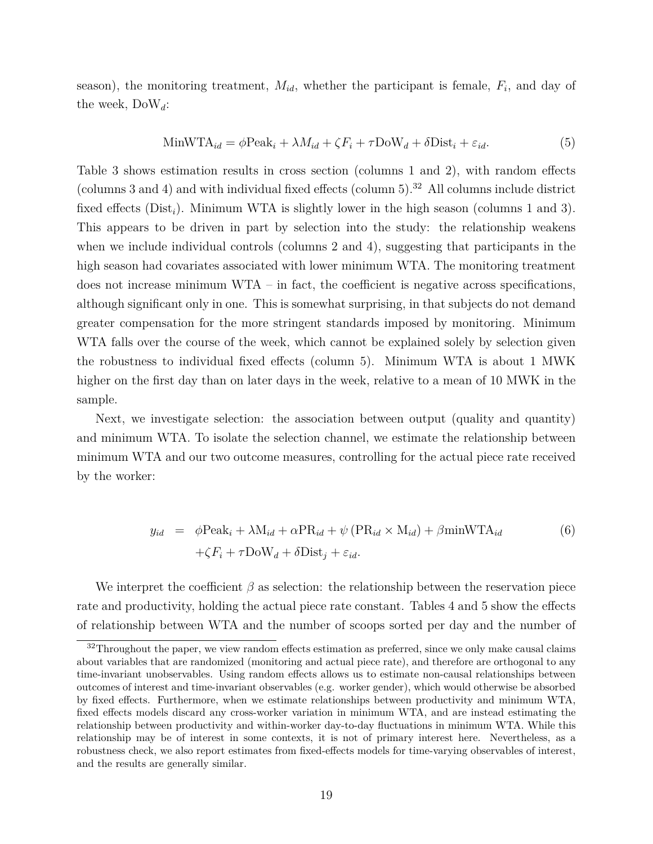season), the monitoring treatment, *Mid*, whether the participant is female, *F<sup>i</sup>* , and day of the week, DoW*d*:

<span id="page-19-1"></span>
$$
\text{MinWTA}_{id} = \phi \text{Peak}_{i} + \lambda M_{id} + \zeta F_{i} + \tau \text{DoW}_{d} + \delta \text{Dist}_{i} + \varepsilon_{id}.
$$
\n
$$
\tag{5}
$$

Table [3](#page-31-0) shows estimation results in cross section (columns 1 and 2), with random effects (columns 3 and 4) and with individual fixed effects (column 5).<sup>[32](#page--1-0)</sup> All columns include district fixed effects (Dist<sub>i</sub>). Minimum WTA is slightly lower in the high season (columns 1 and 3). This appears to be driven in part by selection into the study: the relationship weakens when we include individual controls (columns 2 and 4), suggesting that participants in the high season had covariates associated with lower minimum WTA. The monitoring treatment does not increase minimum  $WTA$  – in fact, the coefficient is negative across specifications, although significant only in one. This is somewhat surprising, in that subjects do not demand greater compensation for the more stringent standards imposed by monitoring. Minimum WTA falls over the course of the week, which cannot be explained solely by selection given the robustness to individual fixed effects (column 5). Minimum WTA is about 1 MWK higher on the first day than on later days in the week, relative to a mean of 10 MWK in the sample.

Next, we investigate selection: the association between output (quality and quantity) and minimum WTA. To isolate the selection channel, we estimate the relationship between minimum WTA and our two outcome measures, controlling for the actual piece rate received by the worker:

<span id="page-19-0"></span>
$$
y_{id} = \phi \text{Peak}_i + \lambda \text{M}_{id} + \alpha \text{PR}_{id} + \psi (\text{PR}_{id} \times \text{M}_{id}) + \beta \text{minWTA}_{id}
$$
  
+ $\zeta F_i + \tau \text{DoW}_d + \delta \text{Dist}_j + \varepsilon_{id}.$  (6)

We interpret the coefficient  $\beta$  as selection: the relationship between the reservation piece rate and productivity, holding the actual piece rate constant. Tables [4](#page-32-0) and [5](#page-33-0) show the effects of relationship between WTA and the number of scoops sorted per day and the number of

<sup>&</sup>lt;sup>32</sup>Throughout the paper, we view random effects estimation as preferred, since we only make causal claims about variables that are randomized (monitoring and actual piece rate), and therefore are orthogonal to any time-invariant unobservables. Using random effects allows us to estimate non-causal relationships between outcomes of interest and time-invariant observables (e.g. worker gender), which would otherwise be absorbed by fixed effects. Furthermore, when we estimate relationships between productivity and minimum WTA, fixed effects models discard any cross-worker variation in minimum WTA, and are instead estimating the relationship between productivity and within-worker day-to-day fluctuations in minimum WTA. While this relationship may be of interest in some contexts, it is not of primary interest here. Nevertheless, as a robustness check, we also report estimates from fixed-effects models for time-varying observables of interest, and the results are generally similar.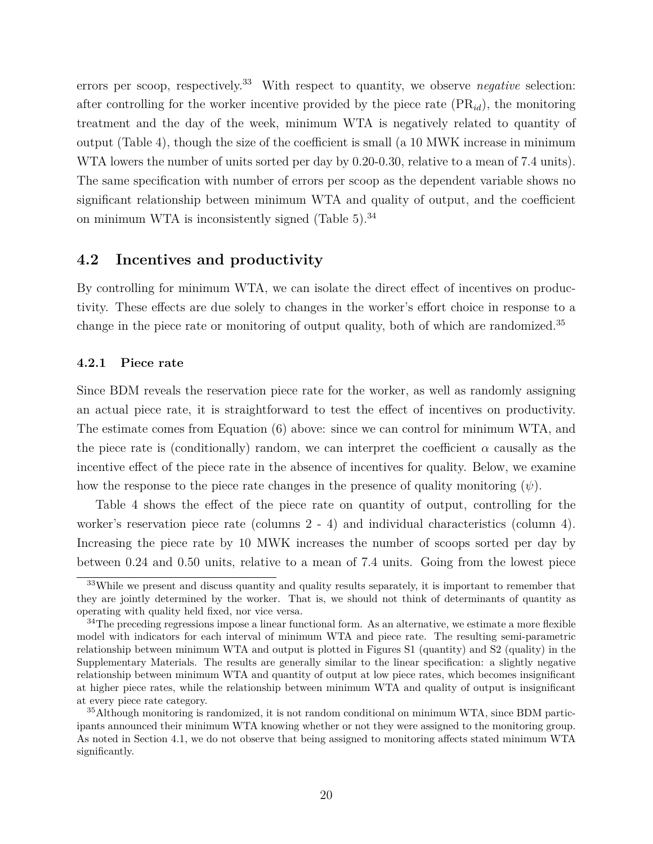errors per scoop, respectively.<sup>[33](#page--1-0)</sup> With respect to quantity, we observe *negative* selection: after controlling for the worker incentive provided by the piece rate (PR*id*), the monitoring treatment and the day of the week, minimum WTA is negatively related to quantity of output (Table [4\)](#page-32-0), though the size of the coefficient is small (a 10 MWK increase in minimum WTA lowers the number of units sorted per day by 0.20-0.30, relative to a mean of 7.4 units). The same specification with number of errors per scoop as the dependent variable shows no significant relationship between minimum WTA and quality of output, and the coefficient on minimum WTA is inconsistently signed (Table  $5$ ).<sup>[34](#page--1-0)</sup>

## **4.2 Incentives and productivity**

By controlling for minimum WTA, we can isolate the direct effect of incentives on productivity. These effects are due solely to changes in the worker's effort choice in response to a change in the piece rate or monitoring of output quality, both of which are randomized.[35](#page--1-0)

#### **4.2.1 Piece rate**

Since BDM reveals the reservation piece rate for the worker, as well as randomly assigning an actual piece rate, it is straightforward to test the effect of incentives on productivity. The estimate comes from Equation [\(6\)](#page-19-0) above: since we can control for minimum WTA, and the piece rate is (conditionally) random, we can interpret the coefficient  $\alpha$  causally as the incentive effect of the piece rate in the absence of incentives for quality. Below, we examine how the response to the piece rate changes in the presence of quality monitoring (*ψ*).

Table [4](#page-32-0) shows the effect of the piece rate on quantity of output, controlling for the worker's reservation piece rate (columns 2 - 4) and individual characteristics (column 4). Increasing the piece rate by 10 MWK increases the number of scoops sorted per day by between 0.24 and 0.50 units, relative to a mean of 7.4 units. Going from the lowest piece

<sup>&</sup>lt;sup>33</sup>While we present and discuss quantity and quality results separately, it is important to remember that they are jointly determined by the worker. That is, we should not think of determinants of quantity as operating with quality held fixed, nor vice versa.

 $34$ The preceding regressions impose a linear functional form. As an alternative, we estimate a more flexible model with indicators for each interval of minimum WTA and piece rate. The resulting semi-parametric relationship between minimum WTA and output is plotted in Figures S1 (quantity) and S2 (quality) in the Supplementary Materials. The results are generally similar to the linear specification: a slightly negative relationship between minimum WTA and quantity of output at low piece rates, which becomes insignificant at higher piece rates, while the relationship between minimum WTA and quality of output is insignificant at every piece rate category.

 $35$ Although monitoring is randomized, it is not random conditional on minimum WTA, since BDM participants announced their minimum WTA knowing whether or not they were assigned to the monitoring group. As noted in Section [4.1,](#page-18-2) we do not observe that being assigned to monitoring affects stated minimum WTA significantly.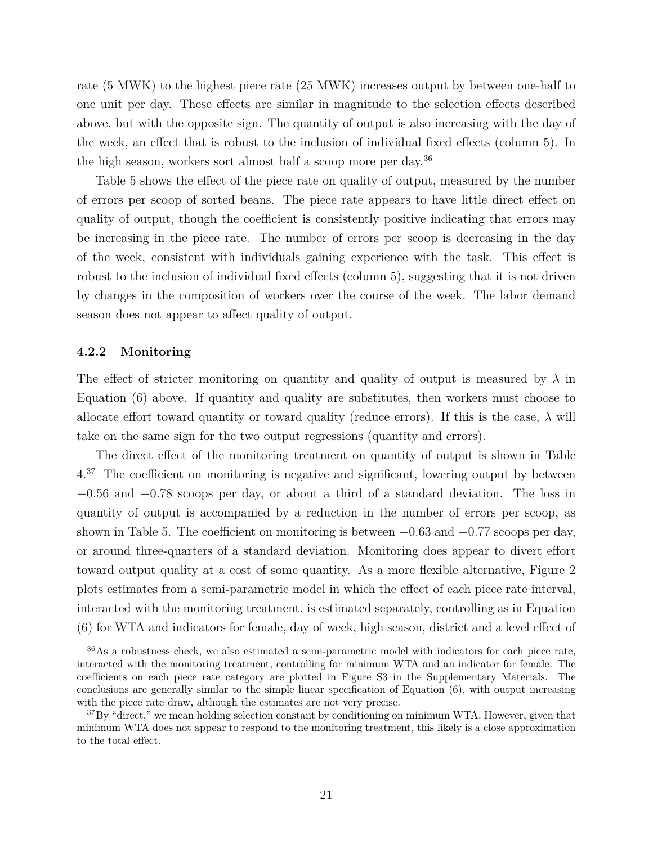rate (5 MWK) to the highest piece rate (25 MWK) increases output by between one-half to one unit per day. These effects are similar in magnitude to the selection effects described above, but with the opposite sign. The quantity of output is also increasing with the day of the week, an effect that is robust to the inclusion of individual fixed effects (column 5). In the high season, workers sort almost half a scoop more per day.[36](#page--1-0)

Table [5](#page-33-0) shows the effect of the piece rate on quality of output, measured by the number of errors per scoop of sorted beans. The piece rate appears to have little direct effect on quality of output, though the coefficient is consistently positive indicating that errors may be increasing in the piece rate. The number of errors per scoop is decreasing in the day of the week, consistent with individuals gaining experience with the task. This effect is robust to the inclusion of individual fixed effects (column 5), suggesting that it is not driven by changes in the composition of workers over the course of the week. The labor demand season does not appear to affect quality of output.

#### **4.2.2 Monitoring**

The effect of stricter monitoring on quantity and quality of output is measured by *λ* in Equation [\(6\)](#page-19-0) above. If quantity and quality are substitutes, then workers must choose to allocate effort toward quantity or toward quality (reduce errors). If this is the case,  $\lambda$  will take on the same sign for the two output regressions (quantity and errors).

The direct effect of the monitoring treatment on quantity of output is shown in Table [4.](#page-32-0)[37](#page--1-0) The coefficient on monitoring is negative and significant, lowering output by between −0*.*56 and −0*.*78 scoops per day, or about a third of a standard deviation. The loss in quantity of output is accompanied by a reduction in the number of errors per scoop, as shown in Table [5.](#page-33-0) The coefficient on monitoring is between −0*.*63 and −0*.*77 scoops per day, or around three-quarters of a standard deviation. Monitoring does appear to divert effort toward output quality at a cost of some quantity. As a more flexible alternative, Figure [2](#page-38-0) plots estimates from a semi-parametric model in which the effect of each piece rate interval, interacted with the monitoring treatment, is estimated separately, controlling as in Equation [\(6\)](#page-19-0) for WTA and indicators for female, day of week, high season, district and a level effect of

<sup>36</sup>As a robustness check, we also estimated a semi-parametric model with indicators for each piece rate, interacted with the monitoring treatment, controlling for minimum WTA and an indicator for female. The coefficients on each piece rate category are plotted in Figure S3 in the Supplementary Materials. The conclusions are generally similar to the simple linear specification of Equation [\(6\)](#page-19-0), with output increasing with the piece rate draw, although the estimates are not very precise.

 ${}^{37}$ By "direct," we mean holding selection constant by conditioning on minimum WTA. However, given that minimum WTA does not appear to respond to the monitoring treatment, this likely is a close approximation to the total effect.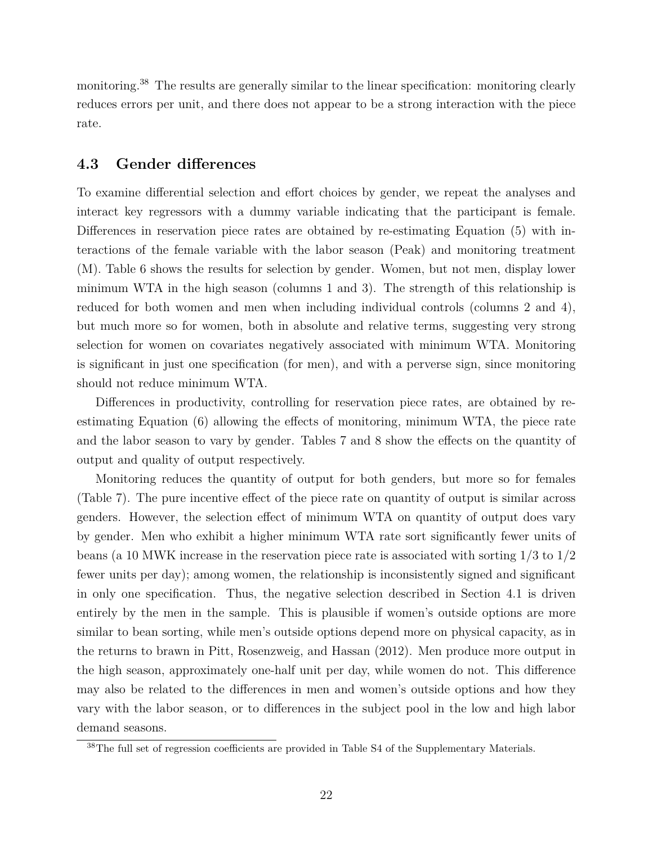monitoring.<sup>[38](#page--1-0)</sup> The results are generally similar to the linear specification: monitoring clearly reduces errors per unit, and there does not appear to be a strong interaction with the piece rate.

## **4.3 Gender differences**

To examine differential selection and effort choices by gender, we repeat the analyses and interact key regressors with a dummy variable indicating that the participant is female. Differences in reservation piece rates are obtained by re-estimating Equation [\(5\)](#page-19-1) with interactions of the female variable with the labor season (Peak) and monitoring treatment (M). Table [6](#page-34-0) shows the results for selection by gender. Women, but not men, display lower minimum WTA in the high season (columns 1 and 3). The strength of this relationship is reduced for both women and men when including individual controls (columns 2 and 4), but much more so for women, both in absolute and relative terms, suggesting very strong selection for women on covariates negatively associated with minimum WTA. Monitoring is significant in just one specification (for men), and with a perverse sign, since monitoring should not reduce minimum WTA.

Differences in productivity, controlling for reservation piece rates, are obtained by reestimating Equation [\(6\)](#page-19-0) allowing the effects of monitoring, minimum WTA, the piece rate and the labor season to vary by gender. Tables [7](#page-35-0) and [8](#page-36-0) show the effects on the quantity of output and quality of output respectively.

Monitoring reduces the quantity of output for both genders, but more so for females (Table [7\)](#page-35-0). The pure incentive effect of the piece rate on quantity of output is similar across genders. However, the selection effect of minimum WTA on quantity of output does vary by gender. Men who exhibit a higher minimum WTA rate sort significantly fewer units of beans (a 10 MWK increase in the reservation piece rate is associated with sorting 1/3 to 1/2 fewer units per day); among women, the relationship is inconsistently signed and significant in only one specification. Thus, the negative selection described in Section [4.1](#page-18-2) is driven entirely by the men in the sample. This is plausible if women's outside options are more similar to bean sorting, while men's outside options depend more on physical capacity, as in the returns to brawn in [Pitt, Rosenzweig, and Hassan](#page-28-4) [\(2012\)](#page-28-4). Men produce more output in the high season, approximately one-half unit per day, while women do not. This difference may also be related to the differences in men and women's outside options and how they vary with the labor season, or to differences in the subject pool in the low and high labor demand seasons.

<sup>&</sup>lt;sup>38</sup>The full set of regression coefficients are provided in Table S4 of the Supplementary Materials.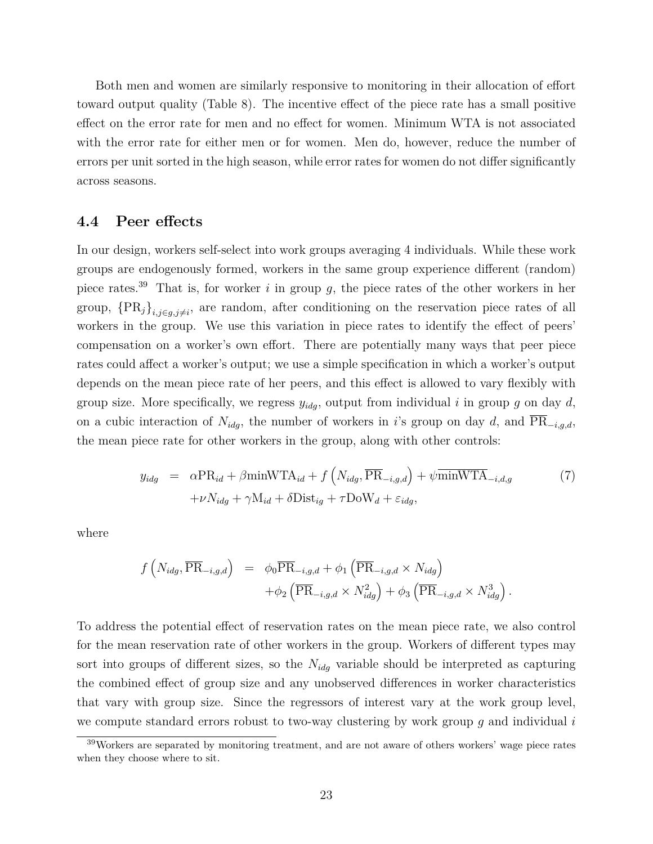Both men and women are similarly responsive to monitoring in their allocation of effort toward output quality (Table [8\)](#page-36-0). The incentive effect of the piece rate has a small positive effect on the error rate for men and no effect for women. Minimum WTA is not associated with the error rate for either men or for women. Men do, however, reduce the number of errors per unit sorted in the high season, while error rates for women do not differ significantly across seasons.

## **4.4 Peer effects**

In our design, workers self-select into work groups averaging 4 individuals. While these work groups are endogenously formed, workers in the same group experience different (random) piece rates.[39](#page--1-0) That is, for worker *i* in group *g*, the piece rates of the other workers in her group,  ${PR}_j$ <sub> $i,j \in g, j \neq i$ , are random, after conditioning on the reservation piece rates of all</sub> workers in the group. We use this variation in piece rates to identify the effect of peers' compensation on a worker's own effort. There are potentially many ways that peer piece rates could affect a worker's output; we use a simple specification in which a worker's output depends on the mean piece rate of her peers, and this effect is allowed to vary flexibly with group size. More specifically, we regress  $y_{idg}$ , output from individual *i* in group *g* on day *d*, on a cubic interaction of  $N_{idg}$ , the number of workers in *i*'s group on day *d*, and  $\overline{\text{PR}}_{-i,g,d}$ , the mean piece rate for other workers in the group, along with other controls:

$$
y_{idg} = \alpha \text{PR}_{id} + \beta \text{minWTA}_{id} + f\left(N_{idg}, \overline{\text{PR}}_{-i,g,d}\right) + \psi \overline{\text{minWTA}}_{-i,d,g} \tag{7}
$$

$$
+ \nu N_{idg} + \gamma \text{M}_{id} + \delta \text{Dist}_{ig} + \tau \text{DoW}_{d} + \varepsilon_{idg},
$$

where

$$
f\left(N_{idg}, \overline{\text{PR}}_{-i,g,d}\right) = \phi_0 \overline{\text{PR}}_{-i,g,d} + \phi_1 \left(\overline{\text{PR}}_{-i,g,d} \times N_{idg}\right) + \phi_2 \left(\overline{\text{PR}}_{-i,g,d} \times N_{idg}^2\right) + \phi_3 \left(\overline{\text{PR}}_{-i,g,d} \times N_{idg}^3\right).
$$

To address the potential effect of reservation rates on the mean piece rate, we also control for the mean reservation rate of other workers in the group. Workers of different types may sort into groups of different sizes, so the *Nidg* variable should be interpreted as capturing the combined effect of group size and any unobserved differences in worker characteristics that vary with group size. Since the regressors of interest vary at the work group level, we compute standard errors robust to two-way clustering by work group *g* and individual *i*

<sup>39</sup>Workers are separated by monitoring treatment, and are not aware of others workers' wage piece rates when they choose where to sit.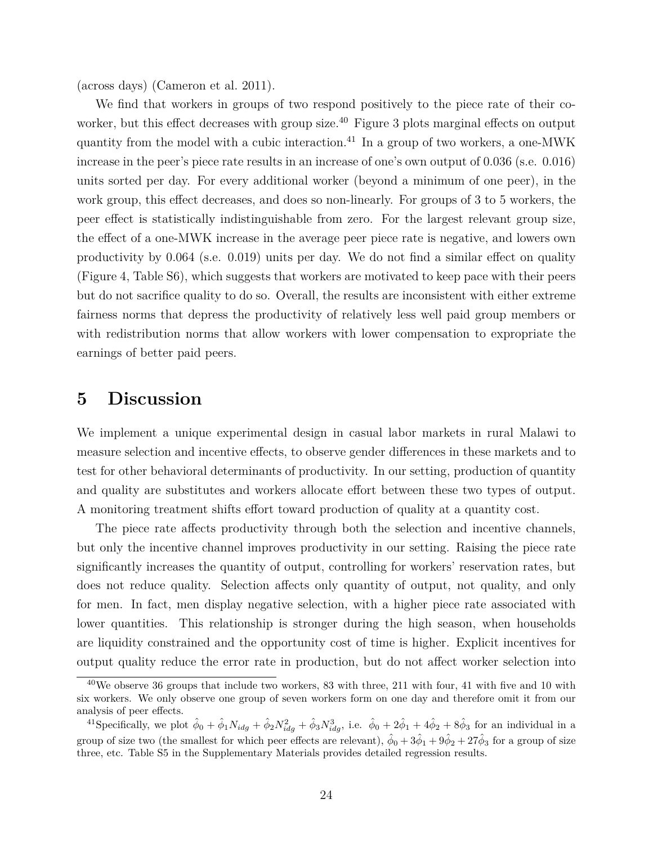(across days) [\(Cameron et al. 2011\)](#page-26-14).

We find that workers in groups of two respond positively to the piece rate of their co-worker, but this effect decreases with group size.<sup>[40](#page--1-0)</sup> Figure [3](#page-38-1) plots marginal effects on output quantity from the model with a cubic interaction.[41](#page--1-0) In a group of two workers, a one-MWK increase in the peer's piece rate results in an increase of one's own output of 0.036 (s.e. 0.016) units sorted per day. For every additional worker (beyond a minimum of one peer), in the work group, this effect decreases, and does so non-linearly. For groups of 3 to 5 workers, the peer effect is statistically indistinguishable from zero. For the largest relevant group size, the effect of a one-MWK increase in the average peer piece rate is negative, and lowers own productivity by 0.064 (s.e. 0.019) units per day. We do not find a similar effect on quality (Figure [4,](#page-39-0) Table S6), which suggests that workers are motivated to keep pace with their peers but do not sacrifice quality to do so. Overall, the results are inconsistent with either extreme fairness norms that depress the productivity of relatively less well paid group members or with redistribution norms that allow workers with lower compensation to expropriate the earnings of better paid peers.

## <span id="page-24-0"></span>**5 Discussion**

We implement a unique experimental design in casual labor markets in rural Malawi to measure selection and incentive effects, to observe gender differences in these markets and to test for other behavioral determinants of productivity. In our setting, production of quantity and quality are substitutes and workers allocate effort between these two types of output. A monitoring treatment shifts effort toward production of quality at a quantity cost.

The piece rate affects productivity through both the selection and incentive channels, but only the incentive channel improves productivity in our setting. Raising the piece rate significantly increases the quantity of output, controlling for workers' reservation rates, but does not reduce quality. Selection affects only quantity of output, not quality, and only for men. In fact, men display negative selection, with a higher piece rate associated with lower quantities. This relationship is stronger during the high season, when households are liquidity constrained and the opportunity cost of time is higher. Explicit incentives for output quality reduce the error rate in production, but do not affect worker selection into

 $40$ We observe 36 groups that include two workers, 83 with three, 211 with four, 41 with five and 10 with six workers. We only observe one group of seven workers form on one day and therefore omit it from our analysis of peer effects.

<sup>&</sup>lt;sup>41</sup>Specifically, we plot  $\hat{\phi}_0 + \hat{\phi}_1 N_{idg} + \hat{\phi}_2 N_{idg}^2 + \hat{\phi}_3 N_{idg}^3$ , i.e.  $\hat{\phi}_0 + 2\hat{\phi}_1 + 4\hat{\phi}_2 + 8\hat{\phi}_3$  for an individual in a group of size two (the smallest for which peer effects are relevant),  $\hat{\phi}_0 + 3\hat{\phi}_1 + 9\hat{\phi}_2 + 27\hat{\phi}_3$  for a group of size three, etc. Table S5 in the Supplementary Materials provides detailed regression results.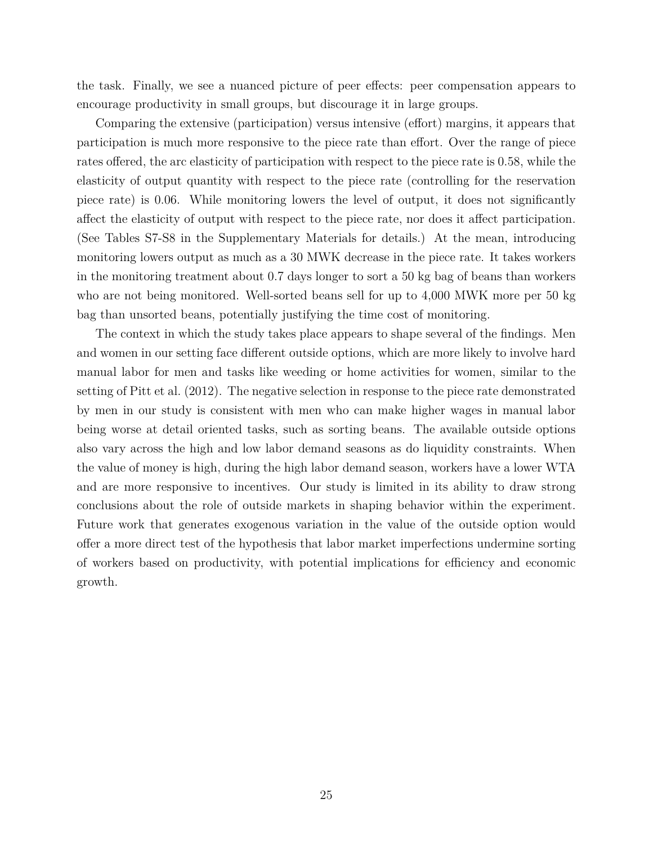the task. Finally, we see a nuanced picture of peer effects: peer compensation appears to encourage productivity in small groups, but discourage it in large groups.

Comparing the extensive (participation) versus intensive (effort) margins, it appears that participation is much more responsive to the piece rate than effort. Over the range of piece rates offered, the arc elasticity of participation with respect to the piece rate is 0.58, while the elasticity of output quantity with respect to the piece rate (controlling for the reservation piece rate) is 0.06. While monitoring lowers the level of output, it does not significantly affect the elasticity of output with respect to the piece rate, nor does it affect participation. (See Tables S7-S8 in the Supplementary Materials for details.) At the mean, introducing monitoring lowers output as much as a 30 MWK decrease in the piece rate. It takes workers in the monitoring treatment about 0.7 days longer to sort a 50 kg bag of beans than workers who are not being monitored. Well-sorted beans sell for up to 4,000 MWK more per 50 kg bag than unsorted beans, potentially justifying the time cost of monitoring.

The context in which the study takes place appears to shape several of the findings. Men and women in our setting face different outside options, which are more likely to involve hard manual labor for men and tasks like weeding or home activities for women, similar to the setting of [Pitt et al.](#page-28-4) [\(2012\)](#page-28-4). The negative selection in response to the piece rate demonstrated by men in our study is consistent with men who can make higher wages in manual labor being worse at detail oriented tasks, such as sorting beans. The available outside options also vary across the high and low labor demand seasons as do liquidity constraints. When the value of money is high, during the high labor demand season, workers have a lower WTA and are more responsive to incentives. Our study is limited in its ability to draw strong conclusions about the role of outside markets in shaping behavior within the experiment. Future work that generates exogenous variation in the value of the outside option would offer a more direct test of the hypothesis that labor market imperfections undermine sorting of workers based on productivity, with potential implications for efficiency and economic growth.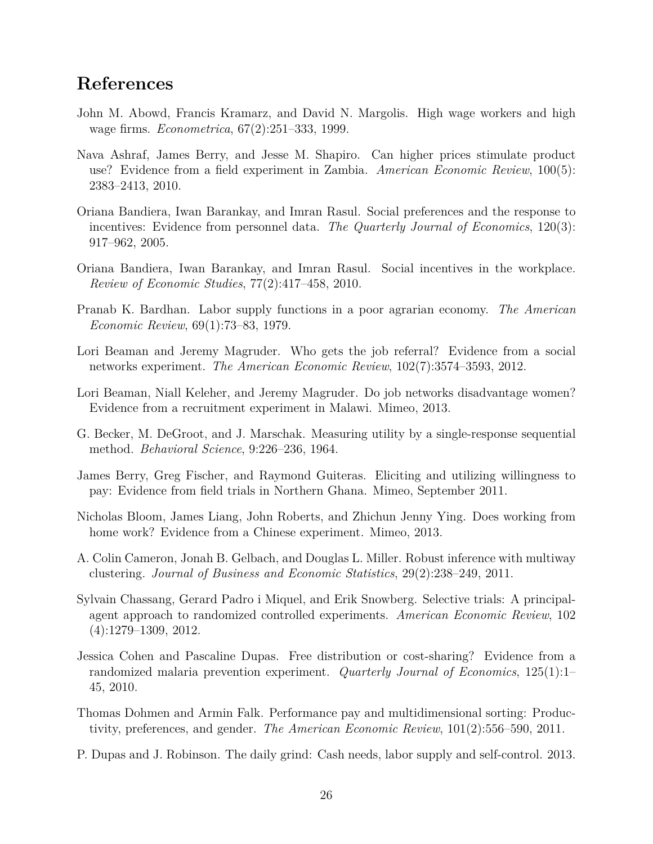# **References**

- <span id="page-26-0"></span>John M. Abowd, Francis Kramarz, and David N. Margolis. High wage workers and high wage firms. *Econometrica*, 67(2):251–333, 1999.
- <span id="page-26-10"></span>Nava Ashraf, James Berry, and Jesse M. Shapiro. Can higher prices stimulate product use? Evidence from a field experiment in Zambia. *American Economic Review*, 100(5): 2383–2413, 2010.
- <span id="page-26-8"></span>Oriana Bandiera, Iwan Barankay, and Imran Rasul. Social preferences and the response to incentives: Evidence from personnel data. *The Quarterly Journal of Economics*, 120(3): 917–962, 2005.
- <span id="page-26-9"></span>Oriana Bandiera, Iwan Barankay, and Imran Rasul. Social incentives in the workplace. *Review of Economic Studies*, 77(2):417–458, 2010.
- <span id="page-26-7"></span>Pranab K. Bardhan. Labor supply functions in a poor agrarian economy. *The American Economic Review*, 69(1):73–83, 1979.
- <span id="page-26-3"></span>Lori Beaman and Jeremy Magruder. Who gets the job referral? Evidence from a social networks experiment. *The American Economic Review*, 102(7):3574–3593, 2012.
- <span id="page-26-4"></span>Lori Beaman, Niall Keleher, and Jeremy Magruder. Do job networks disadvantage women? Evidence from a recruitment experiment in Malawi. Mimeo, 2013.
- <span id="page-26-2"></span>G. Becker, M. DeGroot, and J. Marschak. Measuring utility by a single-response sequential method. *Behavioral Science*, 9:226–236, 1964.
- <span id="page-26-12"></span>James Berry, Greg Fischer, and Raymond Guiteras. Eliciting and utilizing willingness to pay: Evidence from field trials in Northern Ghana. Mimeo, September 2011.
- <span id="page-26-5"></span>Nicholas Bloom, James Liang, John Roberts, and Zhichun Jenny Ying. Does working from home work? Evidence from a Chinese experiment. Mimeo, 2013.
- <span id="page-26-14"></span>A. Colin Cameron, Jonah B. Gelbach, and Douglas L. Miller. Robust inference with multiway clustering. *Journal of Business and Economic Statistics*, 29(2):238–249, 2011.
- <span id="page-26-13"></span>Sylvain Chassang, Gerard Padro i Miquel, and Erik Snowberg. Selective trials: A principalagent approach to randomized controlled experiments. *American Economic Review*, 102 (4):1279–1309, 2012.
- <span id="page-26-11"></span>Jessica Cohen and Pascaline Dupas. Free distribution or cost-sharing? Evidence from a randomized malaria prevention experiment. *Quarterly Journal of Economics*, 125(1):1– 45, 2010.
- <span id="page-26-1"></span>Thomas Dohmen and Armin Falk. Performance pay and multidimensional sorting: Productivity, preferences, and gender. *The American Economic Review*, 101(2):556–590, 2011.
- <span id="page-26-6"></span>P. Dupas and J. Robinson. The daily grind: Cash needs, labor supply and self-control. 2013.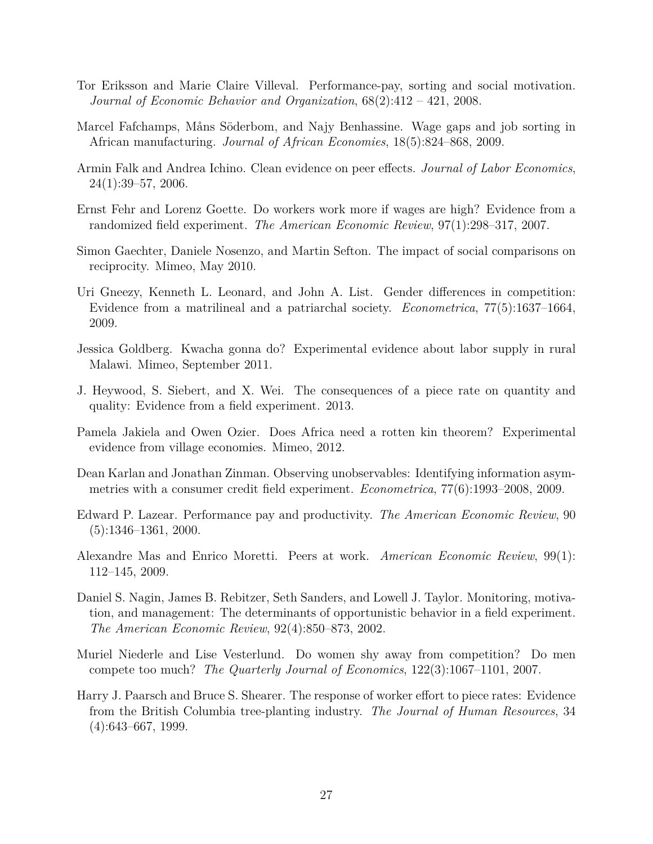- <span id="page-27-5"></span>Tor Eriksson and Marie Claire Villeval. Performance-pay, sorting and social motivation. *Journal of Economic Behavior and Organization*, 68(2):412 – 421, 2008.
- <span id="page-27-1"></span>Marcel Fafchamps, Måns Söderbom, and Najy Benhassine. Wage gaps and job sorting in African manufacturing. *Journal of African Economies*, 18(5):824–868, 2009.
- <span id="page-27-14"></span>Armin Falk and Andrea Ichino. Clean evidence on peer effects. *Journal of Labor Economics*, 24(1):39–57, 2006.
- <span id="page-27-8"></span>Ernst Fehr and Lorenz Goette. Do workers work more if wages are high? Evidence from a randomized field experiment. *The American Economic Review*, 97(1):298–317, 2007.
- <span id="page-27-3"></span>Simon Gaechter, Daniele Nosenzo, and Martin Sefton. The impact of social comparisons on reciprocity. Mimeo, May 2010.
- <span id="page-27-13"></span>Uri Gneezy, Kenneth L. Leonard, and John A. List. Gender differences in competition: Evidence from a matrilineal and a patriarchal society. *Econometrica*, 77(5):1637–1664, 2009.
- <span id="page-27-2"></span>Jessica Goldberg. Kwacha gonna do? Experimental evidence about labor supply in rural Malawi. Mimeo, September 2011.
- <span id="page-27-6"></span>J. Heywood, S. Siebert, and X. Wei. The consequences of a piece rate on quantity and quality: Evidence from a field experiment. 2013.
- <span id="page-27-10"></span>Pamela Jakiela and Owen Ozier. Does Africa need a rotten kin theorem? Experimental evidence from village economies. Mimeo, 2012.
- <span id="page-27-11"></span>Dean Karlan and Jonathan Zinman. Observing unobservables: Identifying information asymmetries with a consumer credit field experiment. *Econometrica*, 77(6):1993–2008, 2009.
- <span id="page-27-0"></span>Edward P. Lazear. Performance pay and productivity. *The American Economic Review*, 90 (5):1346–1361, 2000.
- <span id="page-27-4"></span>Alexandre Mas and Enrico Moretti. Peers at work. *American Economic Review*, 99(1): 112–145, 2009.
- <span id="page-27-9"></span>Daniel S. Nagin, James B. Rebitzer, Seth Sanders, and Lowell J. Taylor. Monitoring, motivation, and management: The determinants of opportunistic behavior in a field experiment. *The American Economic Review*, 92(4):850–873, 2002.
- <span id="page-27-12"></span>Muriel Niederle and Lise Vesterlund. Do women shy away from competition? Do men compete too much? *The Quarterly Journal of Economics*, 122(3):1067–1101, 2007.
- <span id="page-27-7"></span>Harry J. Paarsch and Bruce S. Shearer. The response of worker effort to piece rates: Evidence from the British Columbia tree-planting industry. *The Journal of Human Resources*, 34 (4):643–667, 1999.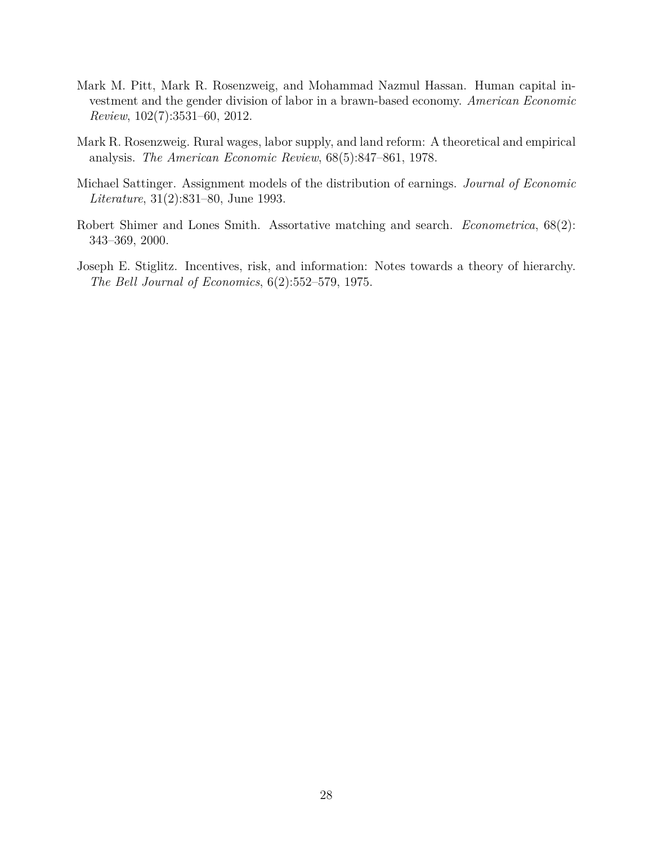- <span id="page-28-4"></span>Mark M. Pitt, Mark R. Rosenzweig, and Mohammad Nazmul Hassan. Human capital investment and the gender division of labor in a brawn-based economy. *American Economic Review*, 102(7):3531–60, 2012.
- <span id="page-28-2"></span>Mark R. Rosenzweig. Rural wages, labor supply, and land reform: A theoretical and empirical analysis. *The American Economic Review*, 68(5):847–861, 1978.
- <span id="page-28-0"></span>Michael Sattinger. Assignment models of the distribution of earnings. *Journal of Economic Literature*, 31(2):831–80, June 1993.
- <span id="page-28-1"></span>Robert Shimer and Lones Smith. Assortative matching and search. *Econometrica*, 68(2): 343–369, 2000.
- <span id="page-28-3"></span>Joseph E. Stiglitz. Incentives, risk, and information: Notes towards a theory of hierarchy. *The Bell Journal of Economics*, 6(2):552–579, 1975.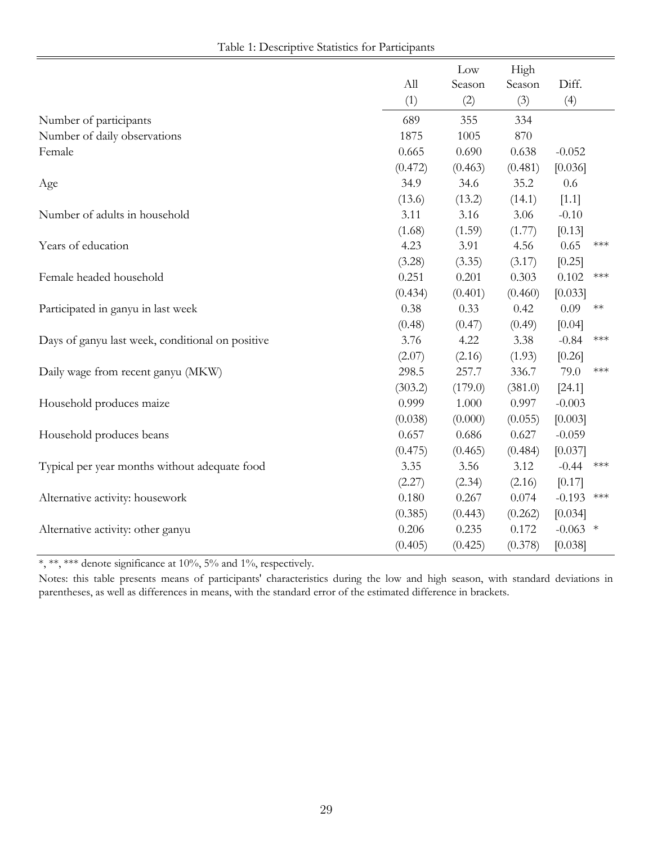| Table 1: Descriptive Statistics for Participants |  |  |  |
|--------------------------------------------------|--|--|--|
|--------------------------------------------------|--|--|--|

<span id="page-29-0"></span>

|                                                  |         | Low     | High    |                  |
|--------------------------------------------------|---------|---------|---------|------------------|
|                                                  | All     | Season  | Season  | Diff.            |
|                                                  | (1)     | (2)     | (3)     | (4)              |
| Number of participants                           | 689     | 355     | 334     |                  |
| Number of daily observations                     | 1875    | 1005    | 870     |                  |
| Female                                           | 0.665   | 0.690   | 0.638   | $-0.052$         |
|                                                  | (0.472) | (0.463) | (0.481) | [0.036]          |
| Age                                              | 34.9    | 34.6    | 35.2    | 0.6              |
|                                                  | (13.6)  | (13.2)  | (14.1)  | $[1.1]$          |
| Number of adults in household                    | 3.11    | 3.16    | 3.06    | $-0.10$          |
|                                                  | (1.68)  | (1.59)  | (1.77)  | [0.13]           |
| Years of education                               | 4.23    | 3.91    | 4.56    | 0.65<br>***      |
|                                                  | (3.28)  | (3.35)  | (3.17)  | [0.25]           |
| Female headed household                          | 0.251   | 0.201   | 0.303   | 0.102<br>***     |
|                                                  | (0.434) | (0.401) | (0.460) | [0.033]          |
| Participated in ganyu in last week               | 0.38    | 0.33    | 0.42    | 0.09<br>$**$     |
|                                                  | (0.48)  | (0.47)  | (0.49)  | [0.04]           |
| Days of ganyu last week, conditional on positive | 3.76    | 4.22    | 3.38    | $-0.84$<br>$***$ |
|                                                  | (2.07)  | (2.16)  | (1.93)  | [0.26]           |
| Daily wage from recent ganyu (MKW)               | 298.5   | 257.7   | 336.7   | 79.0<br>***      |
|                                                  | (303.2) | (179.0) | (381.0) | [24.1]           |
| Household produces maize                         | 0.999   | 1.000   | 0.997   | $-0.003$         |
|                                                  | (0.038) | (0.000) | (0.055) | [0.003]          |
| Household produces beans                         | 0.657   | 0.686   | 0.627   | $-0.059$         |
|                                                  | (0.475) | (0.465) | (0.484) | [0.037]          |
| Typical per year months without adequate food    | 3.35    | 3.56    | 3.12    | $-0.44$<br>***   |
|                                                  | (2.27)  | (2.34)  | (2.16)  | [0.17]           |
| Alternative activity: housework                  | 0.180   | 0.267   | 0.074   | $-0.193$<br>***  |
|                                                  | (0.385) | (0.443) | (0.262) | [0.034]          |
| Alternative activity: other ganyu                | 0.206   | 0.235   | 0.172   | $-0.063$ *       |
|                                                  | (0.405) | (0.425) | (0.378) | [0.038]          |

Notes: this table presents means of participants' characteristics during the low and high season, with standard deviations in parentheses, as well as differences in means, with the standard error of the estimated difference in brackets.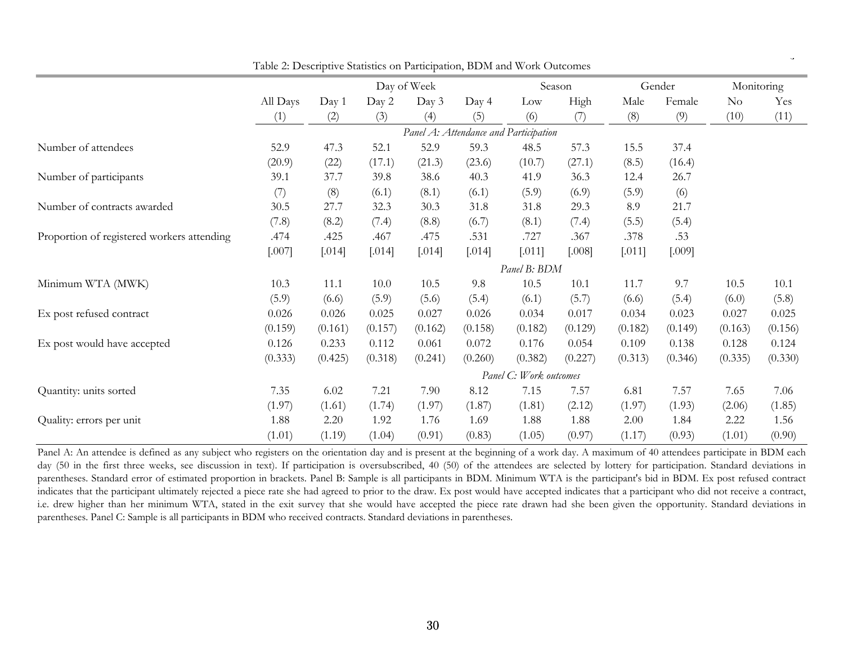<span id="page-30-0"></span>

|                                            |          |         |          | Day of Week |          |                                       | Season  |         | Gender  | Monitoring |         |
|--------------------------------------------|----------|---------|----------|-------------|----------|---------------------------------------|---------|---------|---------|------------|---------|
|                                            | All Days | Day 1   | Day 2    | Day 3       | Day 4    | Low                                   | High    | Male    | Female  | $\rm No$   | Yes     |
|                                            | (1)      | (2)     | (3)      | (4)         | (5)      | (6)                                   | (7)     | (8)     | (9)     | (10)       | (11)    |
|                                            |          |         |          |             |          | Panel A: Attendance and Participation |         |         |         |            |         |
| Number of attendees                        | 52.9     | 47.3    | 52.1     | 52.9        | 59.3     | 48.5                                  | 57.3    | 15.5    | 37.4    |            |         |
|                                            | (20.9)   | (22)    | (17.1)   | (21.3)      | (23.6)   | (10.7)                                | (27.1)  | (8.5)   | (16.4)  |            |         |
| Number of participants                     | 39.1     | 37.7    | 39.8     | 38.6        | 40.3     | 41.9                                  | 36.3    | 12.4    | 26.7    |            |         |
|                                            | (7)      | (8)     | (6.1)    | (8.1)       | (6.1)    | (5.9)                                 | (6.9)   | (5.9)   | (6)     |            |         |
| Number of contracts awarded                | 30.5     | 27.7    | 32.3     | 30.3        | 31.8     | 31.8                                  | 29.3    | 8.9     | 21.7    |            |         |
|                                            | (7.8)    | (8.2)   | (7.4)    | (8.8)       | (6.7)    | (8.1)                                 | (7.4)   | (5.5)   | (5.4)   |            |         |
| Proportion of registered workers attending | .474     | .425    | .467     | .475        | .531     | .727                                  | .367    | .378    | .53     |            |         |
|                                            | $[.007]$ | [.014]  | $[.014]$ | [.014]      | $[.014]$ | [.011]                                | [.008]  | [.011]  | [.009]  |            |         |
|                                            |          |         |          |             |          | Panel B: BDM                          |         |         |         |            |         |
| Minimum WTA (MWK)                          | 10.3     | 11.1    | 10.0     | 10.5        | 9.8      | 10.5                                  | 10.1    | 11.7    | 9.7     | 10.5       | 10.1    |
|                                            | (5.9)    | (6.6)   | (5.9)    | (5.6)       | (5.4)    | (6.1)                                 | (5.7)   | (6.6)   | (5.4)   | (6.0)      | (5.8)   |
| Ex post refused contract                   | 0.026    | 0.026   | 0.025    | 0.027       | 0.026    | 0.034                                 | 0.017   | 0.034   | 0.023   | 0.027      | 0.025   |
|                                            | (0.159)  | (0.161) | (0.157)  | (0.162)     | (0.158)  | (0.182)                               | (0.129) | (0.182) | (0.149) | (0.163)    | (0.156) |
| Ex post would have accepted                | 0.126    | 0.233   | 0.112    | 0.061       | 0.072    | 0.176                                 | 0.054   | 0.109   | 0.138   | 0.128      | 0.124   |
|                                            | (0.333)  | (0.425) | (0.318)  | (0.241)     | (0.260)  | (0.382)                               | (0.227) | (0.313) | (0.346) | (0.335)    | (0.330) |
|                                            |          |         |          |             |          | Panel C: Work outcomes                |         |         |         |            |         |
| Quantity: units sorted                     | 7.35     | 6.02    | 7.21     | 7.90        | 8.12     | 7.15                                  | 7.57    | 6.81    | 7.57    | 7.65       | 7.06    |
|                                            | (1.97)   | (1.61)  | (1.74)   | (1.97)      | (1.87)   | (1.81)                                | (2.12)  | (1.97)  | (1.93)  | (2.06)     | (1.85)  |
| Quality: errors per unit                   | 1.88     | 2.20    | 1.92     | 1.76        | 1.69     | 1.88                                  | 1.88    | 2.00    | 1.84    | 2.22       | 1.56    |
|                                            | (1.01)   | (1.19)  | (1.04)   | (0.91)      | (0.83)   | (1.05)                                | (0.97)  | (1.17)  | (0.93)  | (1.01)     | (0.90)  |

Table 2: Descriptive Statistics on Participation, BDM and Work Outcomes

 $\cdot$ 

Panel A: An attendee is defined as any subject who registers on the orientation day and is present at the beginning of a work day. A maximum of 40 attendees participate in BDM each development of a maximum of 40 attendees day (50 in the first three weeks, see discussion in text). If participation is oversubscribed, <sup>40</sup> (50) of the attendees are selected by lottery for participation. Standard deviations in parentheses. Standard error of estimated proportion in brackets. Panel B: Sample is all participants in BDM. Minimum WTA is the participant's bid in BDM. Ex post refused contract indicates that the participant ultimately rejected a piece rate she had agreed to prior to the draw. Ex post would have accepted indicates that a participant who did not receive a contract, i.e. drew higher than her minimum WTA, stated in the exit survey that she would have accepted the piece rate drawn had she been given the opportunity. Standard deviations in parentheses. Panel C: Sample is all participants in BDM who received contracts. Standard deviations in parentheses.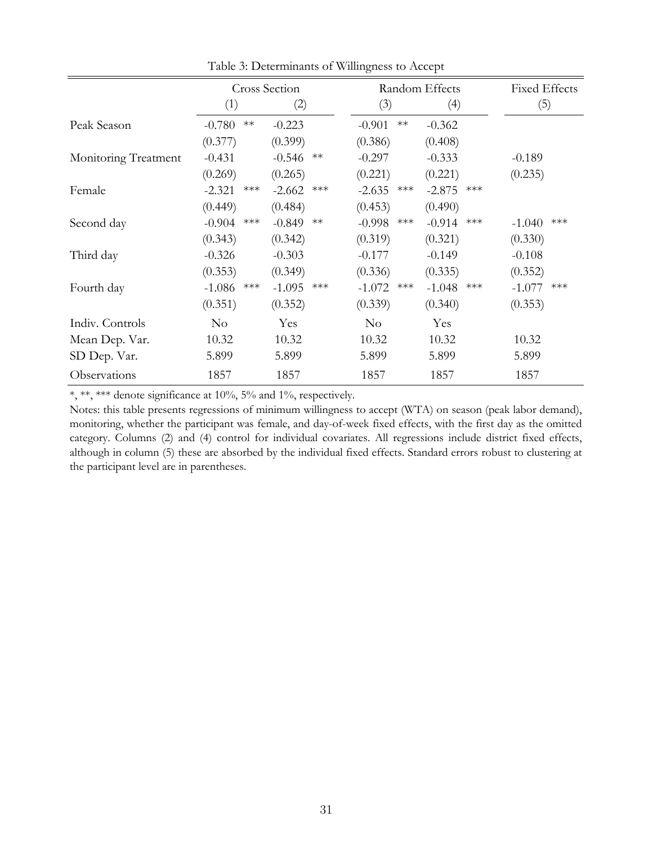<span id="page-31-0"></span>

|                      |                   | <b>Cross Section</b> | Random Effects    |                   | <b>Fixed Effects</b> |
|----------------------|-------------------|----------------------|-------------------|-------------------|----------------------|
|                      | (1)               | (2)                  | (3)               | (4)               | (5)                  |
| Peak Season          | $-0.780$<br>$**$  | $-0.223$             | $-0.901$<br>$***$ | $-0.362$          |                      |
|                      | (0.377)           | (0.399)              | (0.386)           | (0.408)           |                      |
| Monitoring Treatment | $-0.431$          | $-0.546$<br>$**$     | $-0.297$          | $-0.333$          | $-0.189$             |
|                      | (0.269)           | (0.265)              | (0.221)           | (0.221)           | (0.235)              |
| Female               | $-2.321$<br>$***$ | $-2.662$<br>$***$    | $-2.635$<br>$***$ | $-2.875$<br>$***$ |                      |
|                      | (0.449)           | (0.484)              | (0.453)           | (0.490)           |                      |
| Second day           | $-0.904$<br>$***$ | $-0.849$<br>$**$     | $-0.998$<br>$***$ | $-0.914$<br>***   | ***<br>$-1.040$      |
|                      | (0.343)           | (0.342)              | (0.319)           | (0.321)           | (0.330)              |
| Third day            | $-0.326$          | $-0.303$             | $-0.177$          | $-0.149$          | $-0.108$             |
|                      | (0.353)           | (0.349)              | (0.336)           | (0.335)           | (0.352)              |
| Fourth day           | $***$<br>$-1.086$ | $-1.095$<br>$***$    | $-1.072$<br>***   | $-1.048$<br>***   | $-1.077$<br>$***$    |
|                      | (0.351)           | (0.352)              | (0.339)           | (0.340)           | (0.353)              |
| Indiv. Controls      | $\rm No$          | Yes                  | $\rm No$          | Yes               |                      |
| Mean Dep. Var.       | 10.32             | 10.32                | 10.32             | 10.32             | 10.32                |
| SD Dep. Var.         | 5.899             | 5.899                | 5.899             | 5.899             | 5.899                |
| Observations         | 1857              | 1857                 | 1857              | 1857              | 1857                 |

Table 3: Determinants of Willingness to Accept

Notes: this table presents regressions of minimum willingness to accept (WTA) on season (peak labor demand), monitoring, whether the participant was female, and day-of-week fixed effects, with the first day as the omitted category. Columns (2) and (4) control for individual covariates. All regressions include district fixed effects, although in column (5) these are absorbed by the individual fixed effects. Standard errors robust to clustering at the participant level are in parentheses.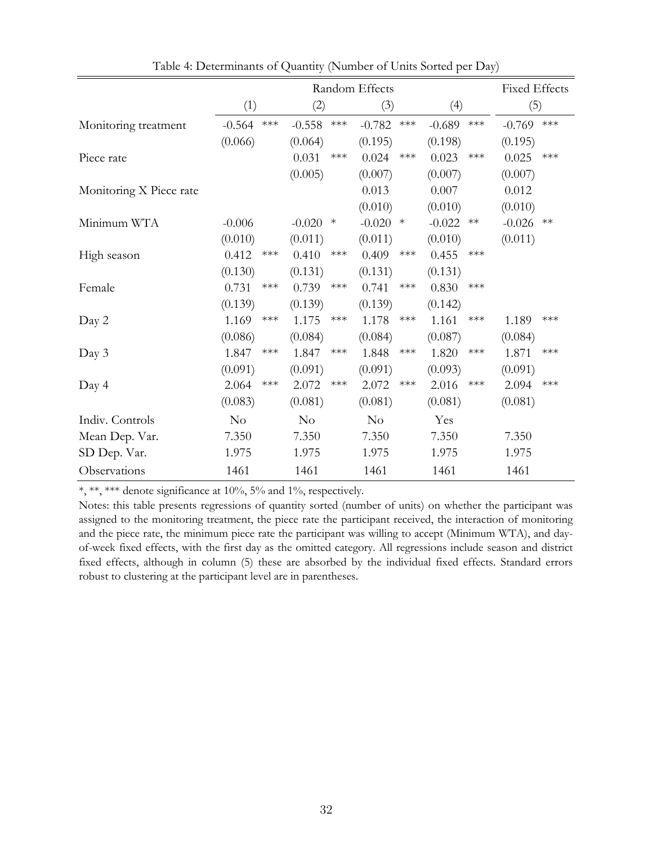<span id="page-32-0"></span>

|                         | Random Effects                    |                                   |                                   | <b>Fixed Effects</b> |                   |
|-------------------------|-----------------------------------|-----------------------------------|-----------------------------------|----------------------|-------------------|
|                         | (1)                               | (2)                               | (3)                               | (4)                  | (5)               |
| Monitoring treatment    | $\star\!\star\!\star$<br>$-0.564$ | $-0.558$<br>$\star\!\star\!\star$ | $-0.782$<br>$\star\!\star\!\star$ | $-0.689$<br>$***$    | $-0.769$<br>$***$ |
|                         | (0.066)                           | (0.064)                           | (0.195)                           | (0.198)              | (0.195)           |
| Piece rate              |                                   | 0.031<br>$***$                    | 0.024<br>$***$                    | 0.023<br>$***$       | 0.025<br>$***$    |
|                         |                                   | (0.005)                           | (0.007)                           | (0.007)              | (0.007)           |
| Monitoring X Piece rate |                                   |                                   | 0.013                             | 0.007                | 0.012             |
|                         |                                   |                                   | (0.010)                           | (0.010)              | (0.010)           |
| Minimum WTA             | $-0.006$                          | $-0.020$<br>$\ast$                | $-0.020$<br>$\ast$                | $-0.022$<br>∗∗       | $-0.026$<br>$**$  |
|                         | (0.010)                           | (0.011)                           | (0.011)                           | (0.010)              | (0.011)           |
| High season             | 0.412<br>$***$                    | 0.410<br>$***$                    | 0.409<br>$***$                    | 0.455<br>$***$       |                   |
|                         | (0.130)                           | (0.131)                           | (0.131)                           | (0.131)              |                   |
| Female                  | 0.731<br>$***$                    | 0.739<br>$***$                    | 0.741<br>$***$                    | 0.830<br>$***$       |                   |
|                         | (0.139)                           | (0.139)                           | (0.139)                           | (0.142)              |                   |
| Day 2                   | 1.169<br>$***$                    | 1.175<br>$***$                    | 1.178<br>$***$                    | 1.161<br>$***$       | $***$<br>1.189    |
|                         | (0.086)                           | (0.084)                           | (0.084)                           | (0.087)              | (0.084)           |
| Day 3                   | 1.847<br>$***$                    | 1.847<br>$***$                    | 1.848<br>$***$                    | 1.820<br>$***$       | 1.871<br>$***$    |
|                         | (0.091)                           | (0.091)                           | (0.091)                           | (0.093)              | (0.091)           |
| Day 4                   | 2.064<br>$***$                    | 2.072<br>$***$                    | 2.072<br>$***$                    | 2.016<br>$***$       | $***$<br>2.094    |
|                         | (0.083)                           | (0.081)                           | (0.081)                           | (0.081)              | (0.081)           |
| Indiv. Controls         | No                                | $\rm No$                          | $\rm No$                          | Yes                  |                   |
| Mean Dep. Var.          | 7.350                             | 7.350                             | 7.350                             | 7.350                | 7.350             |
| SD Dep. Var.            | 1.975                             | 1.975                             | 1.975                             | 1.975                | 1.975             |
| Observations            | 1461                              | 1461                              | 1461                              | 1461                 | 1461              |

Table 4: Determinants of Quantity (Number of Units Sorted per Day)

Notes: this table presents regressions of quantity sorted (number of units) on whether the participant was assigned to the monitoring treatment, the piece rate the participant received, the interaction of monitoring and the piece rate, the minimum piece rate the participant was willing to accept (Minimum WTA), and dayof-week fixed effects, with the first day as the omitted category. All regressions include season and district fixed effects, although in column (5) these are absorbed by the individual fixed effects. Standard errors robust to clustering at the participant level are in parentheses.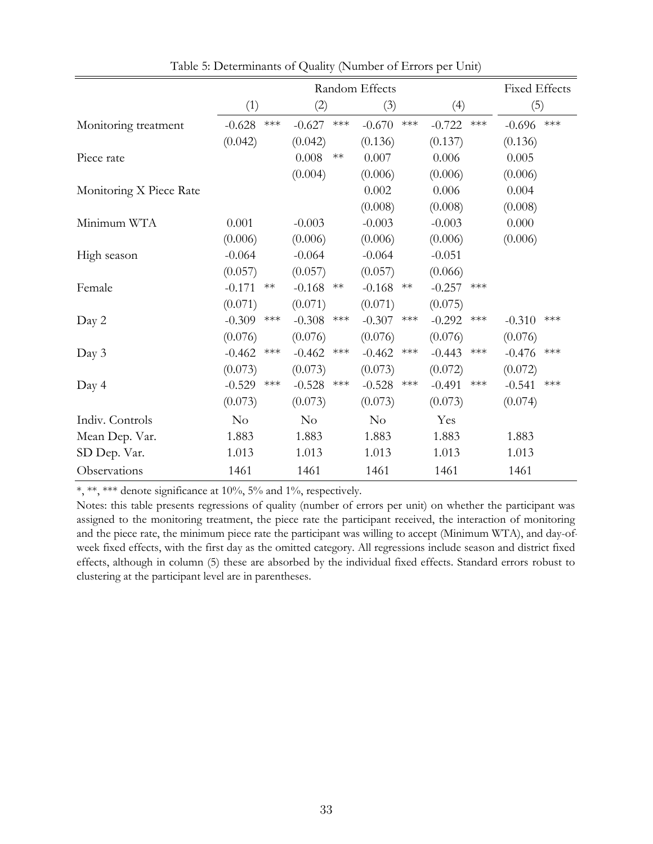<span id="page-33-0"></span>

|                         | Random Effects                    |                   |                   | <b>Fixed Effects</b> |                   |
|-------------------------|-----------------------------------|-------------------|-------------------|----------------------|-------------------|
|                         | (1)                               | (2)               | (3)               | (4)                  | (5)               |
| Monitoring treatment    | $-0.628$<br>$***$                 | $-0.627$<br>$***$ | $-0.670$<br>$***$ | $-0.722$<br>$***$    | $-0.696$<br>$***$ |
|                         | (0.042)                           | (0.042)           | (0.136)           | (0.137)              | (0.136)           |
| Piece rate              |                                   | 0.008<br>$**$     | 0.007             | 0.006                | 0.005             |
|                         |                                   | (0.004)           | (0.006)           | (0.006)              | (0.006)           |
| Monitoring X Piece Rate |                                   |                   | 0.002             | 0.006                | 0.004             |
|                         |                                   |                   | (0.008)           | (0.008)              | (0.008)           |
| Minimum WTA             | 0.001                             | $-0.003$          | $-0.003$          | $-0.003$             | 0.000             |
|                         | (0.006)                           | (0.006)           | (0.006)           | (0.006)              | (0.006)           |
| High season             | $-0.064$                          | $-0.064$          | $-0.064$          | $-0.051$             |                   |
|                         | (0.057)                           | (0.057)           | (0.057)           | (0.066)              |                   |
| Female                  | $-0.171$<br>$**$                  | $-0.168$<br>$**$  | $-0.168$<br>$**$  | $-0.257$<br>$***$    |                   |
|                         | (0.071)                           | (0.071)           | (0.071)           | (0.075)              |                   |
| Day 2                   | $-0.309$<br>$***$                 | $-0.308$<br>$***$ | $-0.307$<br>$***$ | $-0.292$<br>$***$    | $-0.310$<br>$***$ |
|                         | (0.076)                           | (0.076)           | (0.076)           | (0.076)              | (0.076)           |
| Day 3                   | $-0.462$<br>$\star\!\star\!\star$ | ***<br>$-0.462$   | $-0.462$<br>$***$ | $-0.443$<br>$***$    | $***$<br>$-0.476$ |
|                         | (0.073)                           | (0.073)           | (0.073)           | (0.072)              | (0.072)           |
| Day 4                   | $-0.529$<br>$***$                 | $-0.528$<br>$***$ | $-0.528$<br>$***$ | $-0.491$<br>$***$    | $***$<br>$-0.541$ |
|                         | (0.073)                           | (0.073)           | (0.073)           | (0.073)              | (0.074)           |
| Indiv. Controls         | $\rm No$                          | $\rm No$          | $\rm No$          | Yes                  |                   |
| Mean Dep. Var.          | 1.883                             | 1.883             | 1.883             | 1.883                | 1.883             |
| SD Dep. Var.            | 1.013                             | 1.013             | 1.013             | 1.013                | 1.013             |
| Observations            | 1461                              | 1461              | 1461              | 1461                 | 1461              |

Table 5: Determinants of Quality (Number of Errors per Unit)

Notes: this table presents regressions of quality (number of errors per unit) on whether the participant was assigned to the monitoring treatment, the piece rate the participant received, the interaction of monitoring and the piece rate, the minimum piece rate the participant was willing to accept (Minimum WTA), and day-ofweek fixed effects, with the first day as the omitted category. All regressions include season and district fixed effects, although in column (5) these are absorbed by the individual fixed effects. Standard errors robust to clustering at the participant level are in parentheses.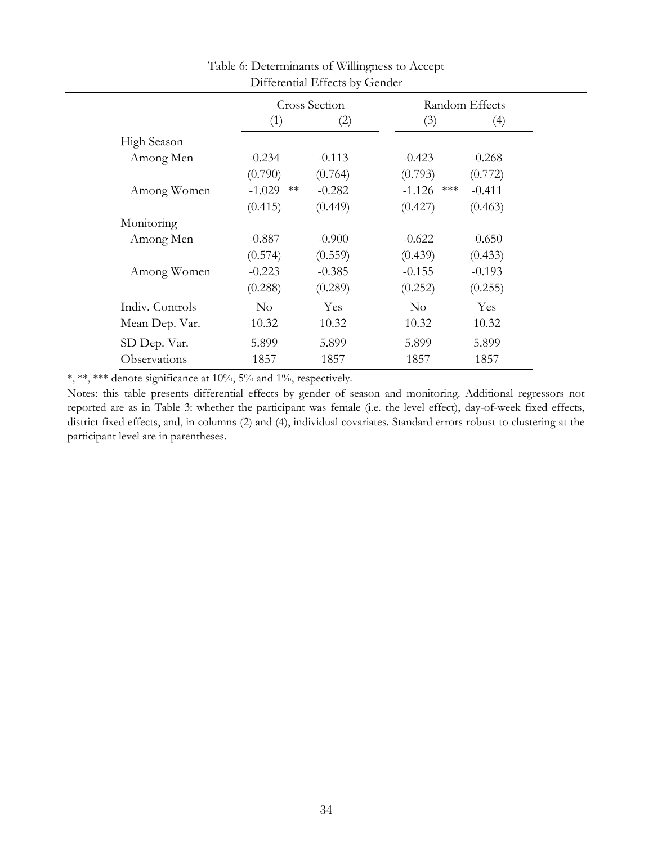<span id="page-34-0"></span>

|                 |             | <b>Cross Section</b> |              | Random Effects |  |
|-----------------|-------------|----------------------|--------------|----------------|--|
|                 | (1)         | (2)                  | (3)          | (4)            |  |
| High Season     |             |                      |              |                |  |
| Among Men       | $-0.234$    | $-0.113$             | $-0.423$     | $-0.268$       |  |
|                 | (0.790)     | (0.764)              | (0.793)      | (0.772)        |  |
| Among Women     | $-1.029$ ** | $-0.282$             | $-1.126$ *** | $-0.411$       |  |
|                 | (0.415)     | (0.449)              | (0.427)      | (0.463)        |  |
| Monitoring      |             |                      |              |                |  |
| Among Men       | $-0.887$    | $-0.900$             | $-0.622$     | $-0.650$       |  |
|                 | (0.574)     | (0.559)              | (0.439)      | (0.433)        |  |
| Among Women     | $-0.223$    | $-0.385$             | $-0.155$     | $-0.193$       |  |
|                 | (0.288)     | (0.289)              | (0.252)      | (0.255)        |  |
| Indiv. Controls | $\rm No$    | Yes                  | $\rm No$     | Yes            |  |
| Mean Dep. Var.  | 10.32       | 10.32                | 10.32        | 10.32          |  |
| SD Dep. Var.    | 5.899       | 5.899                | 5.899        | 5.899          |  |
| Observations    | 1857        | 1857                 | 1857         | 1857           |  |

Table 6: Determinants of Willingness to Accept Differential Effects by Gender

Notes: this table presents differential effects by gender of season and monitoring. Additional regressors not reported are as in Table 3: whether the participant was female (i.e. the level effect), day-of-week fixed effects, district fixed effects, and, in columns (2) and (4), individual covariates. Standard errors robust to clustering at the participant level are in parentheses.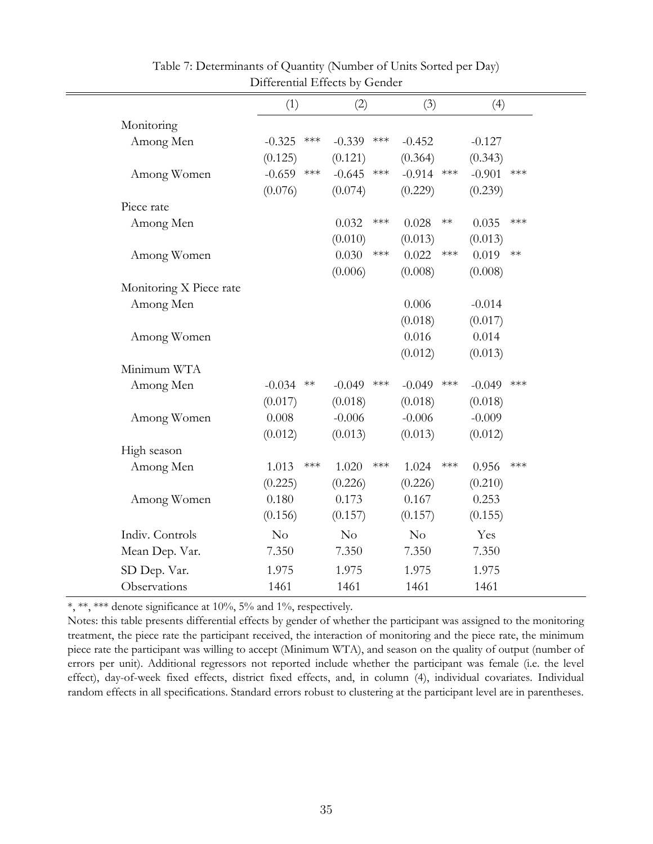<span id="page-35-0"></span>

|                         | (1)               | (2)                                        | (3)               | (4)               |  |
|-------------------------|-------------------|--------------------------------------------|-------------------|-------------------|--|
| Monitoring              |                   |                                            |                   |                   |  |
| Among Men               | $-0.325$<br>$***$ | $-0.339$<br>$***$                          | $-0.452$          | $-0.127$          |  |
|                         | (0.125)           | (0.121)                                    | (0.364)           | (0.343)           |  |
| Among Women             | $-0.659$          | $\star\!\star\!\star$<br>$-0.645$<br>$***$ | $-0.914$ ***      | $-0.901$<br>$***$ |  |
|                         | (0.076)           | (0.074)                                    | (0.229)           | (0.239)           |  |
| Piece rate              |                   |                                            |                   |                   |  |
| Among Men               |                   | 0.032<br>$***$                             | 0.028<br>$**$     | $***$<br>0.035    |  |
|                         |                   | (0.010)                                    | (0.013)           | (0.013)           |  |
| Among Women             |                   | 0.030<br>$\star\!\star\!\star$             | 0.022<br>$***$    | 0.019<br>$***$    |  |
|                         |                   | (0.006)                                    | (0.008)           | (0.008)           |  |
| Monitoring X Piece rate |                   |                                            |                   |                   |  |
| Among Men               |                   |                                            | 0.006             | $-0.014$          |  |
|                         |                   |                                            | (0.018)           | (0.017)           |  |
| Among Women             |                   |                                            | 0.016             | 0.014             |  |
|                         |                   |                                            | (0.012)           | (0.013)           |  |
| Minimum WTA             |                   |                                            |                   |                   |  |
| Among Men               | $-0.034$<br>$**$  | $-0.049$<br>$***$                          | $***$<br>$-0.049$ | $-0.049$<br>$***$ |  |
|                         | (0.017)           | (0.018)                                    | (0.018)           | (0.018)           |  |
| Among Women             | 0.008             | $-0.006$                                   | $-0.006$          | $-0.009$          |  |
|                         | (0.012)           | (0.013)                                    | (0.013)           | (0.012)           |  |
| High season             |                   |                                            |                   |                   |  |
| Among Men               | 1.013             | $***$<br>$***$<br>1.020                    | $***$<br>1.024    | 0.956<br>$***$    |  |
|                         | (0.225)           | (0.226)                                    | (0.226)           | (0.210)           |  |
| Among Women             | 0.180             | 0.173                                      | 0.167             | 0.253             |  |
|                         | (0.156)           | (0.157)                                    | (0.157)           | (0.155)           |  |
| Indiv. Controls         | No                | No                                         | No                | Yes               |  |
| Mean Dep. Var.          | 7.350             | 7.350                                      | 7.350             | 7.350             |  |
| SD Dep. Var.            | 1.975             | 1.975                                      | 1.975             | 1.975             |  |
| Observations            | 1461              | 1461                                       | 1461              | 1461              |  |

Table 7: Determinants of Quantity (Number of Units Sorted per Day) Differential Effects by Gender

Notes: this table presents differential effects by gender of whether the participant was assigned to the monitoring treatment, the piece rate the participant received, the interaction of monitoring and the piece rate, the minimum piece rate the participant was willing to accept (Minimum WTA), and season on the quality of output (number of errors per unit). Additional regressors not reported include whether the participant was female (i.e. the level effect), day-of-week fixed effects, district fixed effects, and, in column (4), individual covariates. Individual random effects in all specifications. Standard errors robust to clustering at the participant level are in parentheses.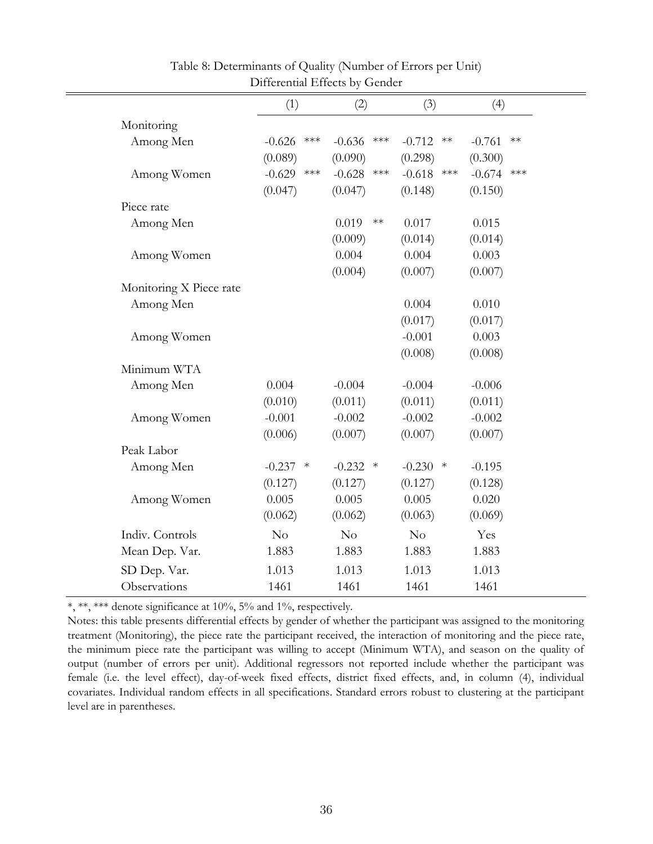<span id="page-36-0"></span>

|                         | (1)                               | (2)               | (3)                | (4)               |
|-------------------------|-----------------------------------|-------------------|--------------------|-------------------|
| Monitoring              |                                   |                   |                    |                   |
| Among Men               | $***$<br>$-0.626$                 | $-0.636$<br>$***$ | $-0.712$<br>$**$   | $-0.761$<br>$**$  |
|                         | (0.089)                           | (0.090)           | (0.298)            | (0.300)           |
| Among Women             | $-0.629$<br>$\star\!\star\!\star$ | $-0.628$<br>$***$ | $-0.618$ ***       | $-0.674$<br>$***$ |
|                         | (0.047)                           | (0.047)           | (0.148)            | (0.150)           |
| Piece rate              |                                   |                   |                    |                   |
| Among Men               |                                   | 0.019<br>$**$     | 0.017              | 0.015             |
|                         |                                   | (0.009)           | (0.014)            | (0.014)           |
| Among Women             |                                   | 0.004             | 0.004              | 0.003             |
|                         |                                   | (0.004)           | (0.007)            | (0.007)           |
| Monitoring X Piece rate |                                   |                   |                    |                   |
| Among Men               |                                   |                   | 0.004              | 0.010             |
|                         |                                   |                   | (0.017)            | (0.017)           |
| Among Women             |                                   |                   | $-0.001$           | 0.003             |
|                         |                                   |                   | (0.008)            | (0.008)           |
| Minimum WTA             |                                   |                   |                    |                   |
| Among Men               | 0.004                             | $-0.004$          | $-0.004$           | $-0.006$          |
|                         | (0.010)                           | (0.011)           | (0.011)            | (0.011)           |
| Among Women             | $-0.001$                          | $-0.002$          | $-0.002$           | $-0.002$          |
|                         | (0.006)                           | (0.007)           | (0.007)            | (0.007)           |
| Peak Labor              |                                   |                   |                    |                   |
| Among Men               | $-0.237$<br>$\ast$                | $-0.232$<br>$*$   | $-0.230$<br>$\ast$ | $-0.195$          |
|                         | (0.127)                           | (0.127)           | (0.127)            | (0.128)           |
| Among Women             | 0.005                             | 0.005             | 0.005              | 0.020             |
|                         | (0.062)                           | (0.062)           | (0.063)            | (0.069)           |
| Indiv. Controls         | No                                | No                | No                 | Yes               |
| Mean Dep. Var.          | 1.883                             | 1.883             | 1.883              | 1.883             |
| SD Dep. Var.            | 1.013                             | 1.013             | 1.013              | 1.013             |
| Observations            | 1461                              | 1461              | 1461               | 1461              |

## Table 8: Determinants of Quality (Number of Errors per Unit) Differential Effects by Gender

\*, \*\*, \*\*\* denote significance at 10%, 5% and 1%, respectively.

Notes: this table presents differential effects by gender of whether the participant was assigned to the monitoring treatment (Monitoring), the piece rate the participant received, the interaction of monitoring and the piece rate, the minimum piece rate the participant was willing to accept (Minimum WTA), and season on the quality of output (number of errors per unit). Additional regressors not reported include whether the participant was female (i.e. the level effect), day-of-week fixed effects, district fixed effects, and, in column (4), individual covariates. Individual random effects in all specifications. Standard errors robust to clustering at the participant level are in parentheses.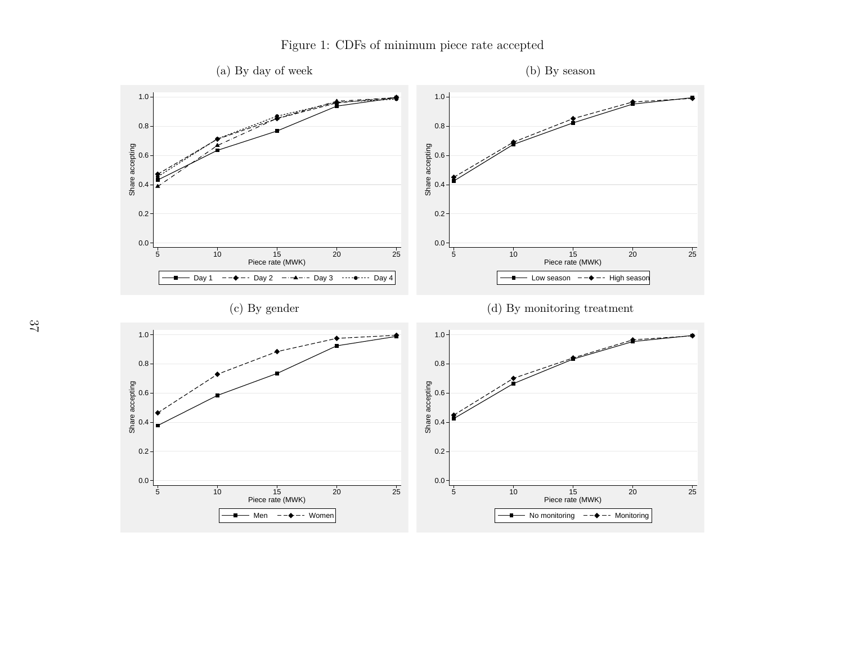<span id="page-37-0"></span>

## Figure 1: CDFs of minimum <sup>p</sup>iece rate accepted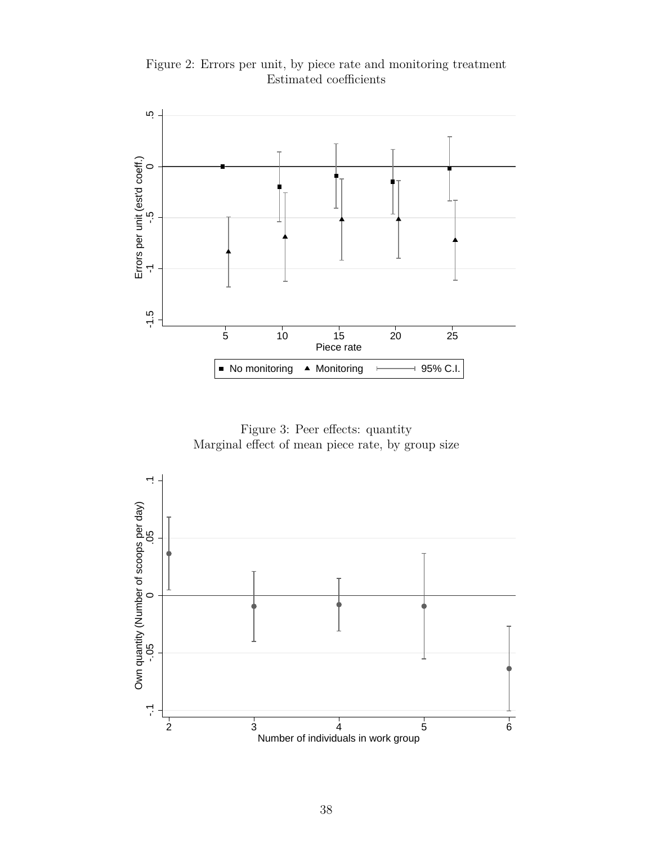Figure 2: Errors per unit, by piece rate and monitoring treatment Estimated coefficients

<span id="page-38-0"></span>

Figure 3: Peer effects: quantity Marginal effect of mean piece rate, by group size

<span id="page-38-1"></span>